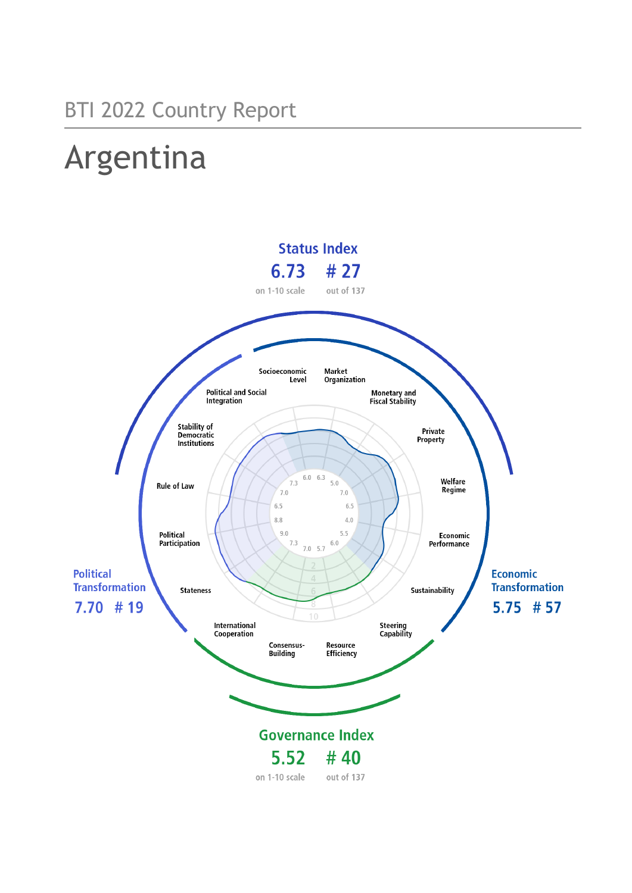# Argentina

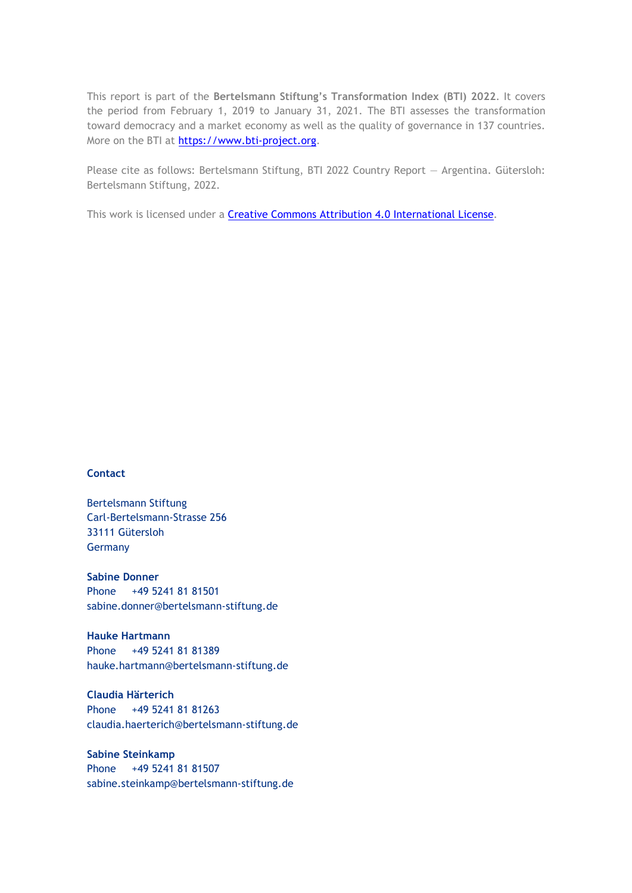This report is part of the **Bertelsmann Stiftung's Transformation Index (BTI) 2022**. It covers the period from February 1, 2019 to January 31, 2021. The BTI assesses the transformation toward democracy and a market economy as well as the quality of governance in 137 countries. More on the BTI at [https://www.bti-project.org.](https://www.bti-project.org/)

Please cite as follows: Bertelsmann Stiftung, BTI 2022 Country Report — Argentina. Gütersloh: Bertelsmann Stiftung, 2022.

This work is licensed under a **Creative Commons Attribution 4.0 International License**.

#### **Contact**

Bertelsmann Stiftung Carl-Bertelsmann-Strasse 256 33111 Gütersloh Germany

**Sabine Donner** Phone +49 5241 81 81501 sabine.donner@bertelsmann-stiftung.de

**Hauke Hartmann** Phone +49 5241 81 81389 hauke.hartmann@bertelsmann-stiftung.de

**Claudia Härterich** Phone +49 5241 81 81263 claudia.haerterich@bertelsmann-stiftung.de

#### **Sabine Steinkamp** Phone +49 5241 81 81507 sabine.steinkamp@bertelsmann-stiftung.de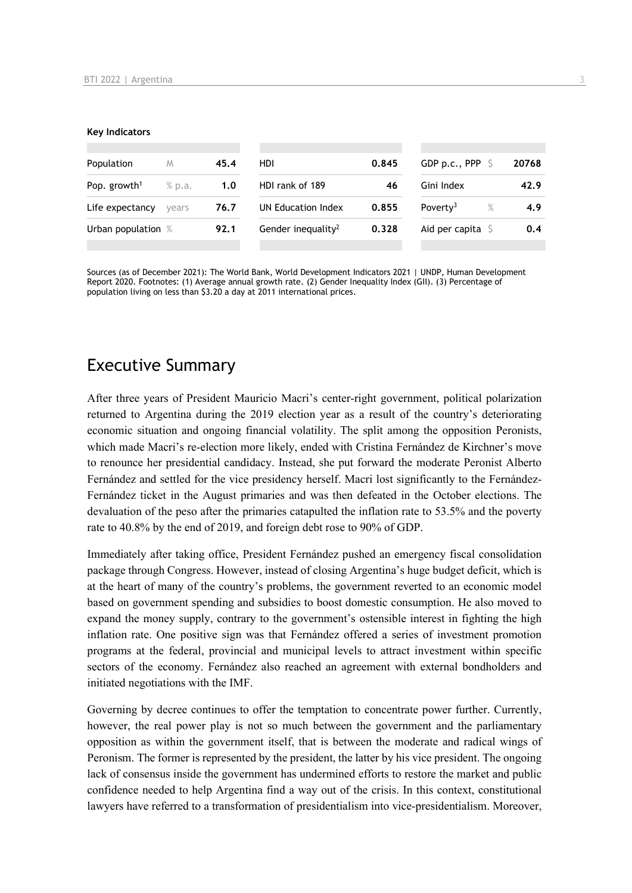#### **Key Indicators**

| Population               | M      | 45.4 | <b>HDI</b>                     | 0.845 | GDP p.c., PPP $\sqrt{5}$     | 20768 |
|--------------------------|--------|------|--------------------------------|-------|------------------------------|-------|
| Pop. growth <sup>1</sup> | % p.a. | 1.0  | HDI rank of 189                | 46    | Gini Index                   | 42.9  |
| Life expectancy          | vears  | 76.7 | UN Education Index             | 0.855 | Poverty <sup>3</sup><br>$\%$ | 4.9   |
| Urban population %       |        | 92.1 | Gender inequality <sup>2</sup> | 0.328 | Aid per capita $\sqrt{5}$    | 0.4   |
|                          |        |      |                                |       |                              |       |

Sources (as of December 2021): The World Bank, World Development Indicators 2021 | UNDP, Human Development Report 2020. Footnotes: (1) Average annual growth rate. (2) Gender Inequality Index (GII). (3) Percentage of population living on less than \$3.20 a day at 2011 international prices.

## Executive Summary

After three years of President Mauricio Macri's center-right government, political polarization returned to Argentina during the 2019 election year as a result of the country's deteriorating economic situation and ongoing financial volatility. The split among the opposition Peronists, which made Macri's re-election more likely, ended with Cristina Fernández de Kirchner's move to renounce her presidential candidacy. Instead, she put forward the moderate Peronist Alberto Fernández and settled for the vice presidency herself. Macri lost significantly to the Fernández-Fernández ticket in the August primaries and was then defeated in the October elections. The devaluation of the peso after the primaries catapulted the inflation rate to 53.5% and the poverty rate to 40.8% by the end of 2019, and foreign debt rose to 90% of GDP.

Immediately after taking office, President Fernández pushed an emergency fiscal consolidation package through Congress. However, instead of closing Argentina's huge budget deficit, which is at the heart of many of the country's problems, the government reverted to an economic model based on government spending and subsidies to boost domestic consumption. He also moved to expand the money supply, contrary to the government's ostensible interest in fighting the high inflation rate. One positive sign was that Fernández offered a series of investment promotion programs at the federal, provincial and municipal levels to attract investment within specific sectors of the economy. Fernández also reached an agreement with external bondholders and initiated negotiations with the IMF.

Governing by decree continues to offer the temptation to concentrate power further. Currently, however, the real power play is not so much between the government and the parliamentary opposition as within the government itself, that is between the moderate and radical wings of Peronism. The former is represented by the president, the latter by his vice president. The ongoing lack of consensus inside the government has undermined efforts to restore the market and public confidence needed to help Argentina find a way out of the crisis. In this context, constitutional lawyers have referred to a transformation of presidentialism into vice-presidentialism. Moreover,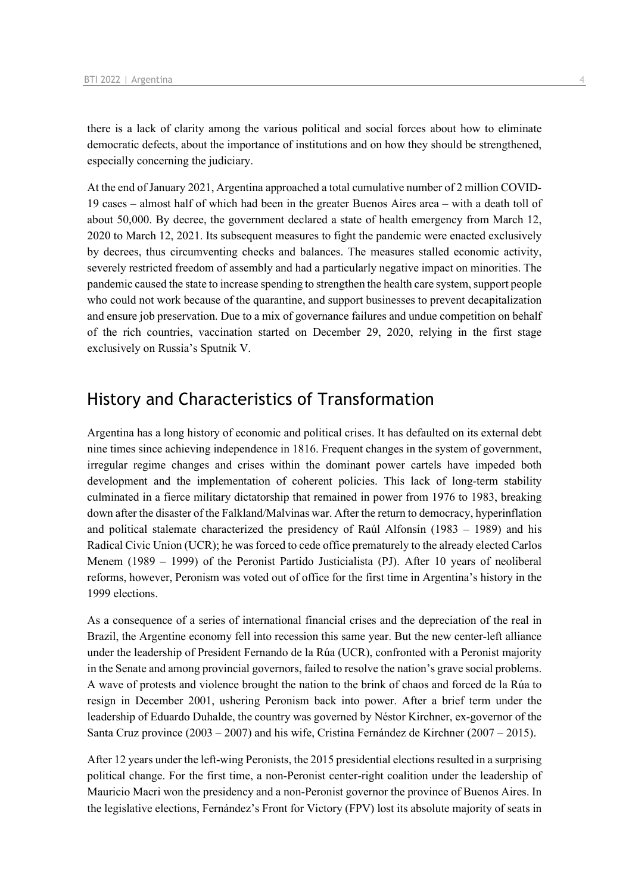there is a lack of clarity among the various political and social forces about how to eliminate democratic defects, about the importance of institutions and on how they should be strengthened, especially concerning the judiciary.

At the end of January 2021, Argentina approached a total cumulative number of 2 million COVID-19 cases – almost half of which had been in the greater Buenos Aires area – with a death toll of about 50,000. By decree, the government declared a state of health emergency from March 12, 2020 to March 12, 2021. Its subsequent measures to fight the pandemic were enacted exclusively by decrees, thus circumventing checks and balances. The measures stalled economic activity, severely restricted freedom of assembly and had a particularly negative impact on minorities. The pandemic caused the state to increase spending to strengthen the health care system, support people who could not work because of the quarantine, and support businesses to prevent decapitalization and ensure job preservation. Due to a mix of governance failures and undue competition on behalf of the rich countries, vaccination started on December 29, 2020, relying in the first stage exclusively on Russia's Sputnik V.

## History and Characteristics of Transformation

Argentina has a long history of economic and political crises. It has defaulted on its external debt nine times since achieving independence in 1816. Frequent changes in the system of government, irregular regime changes and crises within the dominant power cartels have impeded both development and the implementation of coherent policies. This lack of long-term stability culminated in a fierce military dictatorship that remained in power from 1976 to 1983, breaking down after the disaster of the Falkland/Malvinas war. After the return to democracy, hyperinflation and political stalemate characterized the presidency of Raúl Alfonsín (1983 – 1989) and his Radical Civic Union (UCR); he was forced to cede office prematurely to the already elected Carlos Menem (1989 – 1999) of the Peronist Partido Justicialista (PJ). After 10 years of neoliberal reforms, however, Peronism was voted out of office for the first time in Argentina's history in the 1999 elections.

As a consequence of a series of international financial crises and the depreciation of the real in Brazil, the Argentine economy fell into recession this same year. But the new center-left alliance under the leadership of President Fernando de la Rúa (UCR), confronted with a Peronist majority in the Senate and among provincial governors, failed to resolve the nation's grave social problems. A wave of protests and violence brought the nation to the brink of chaos and forced de la Rúa to resign in December 2001, ushering Peronism back into power. After a brief term under the leadership of Eduardo Duhalde, the country was governed by Néstor Kirchner, ex-governor of the Santa Cruz province  $(2003 - 2007)$  and his wife, Cristina Fernández de Kirchner  $(2007 - 2015)$ .

After 12 years under the left-wing Peronists, the 2015 presidential elections resulted in a surprising political change. For the first time, a non-Peronist center-right coalition under the leadership of Mauricio Macri won the presidency and a non-Peronist governor the province of Buenos Aires. In the legislative elections, Fernández's Front for Victory (FPV) lost its absolute majority of seats in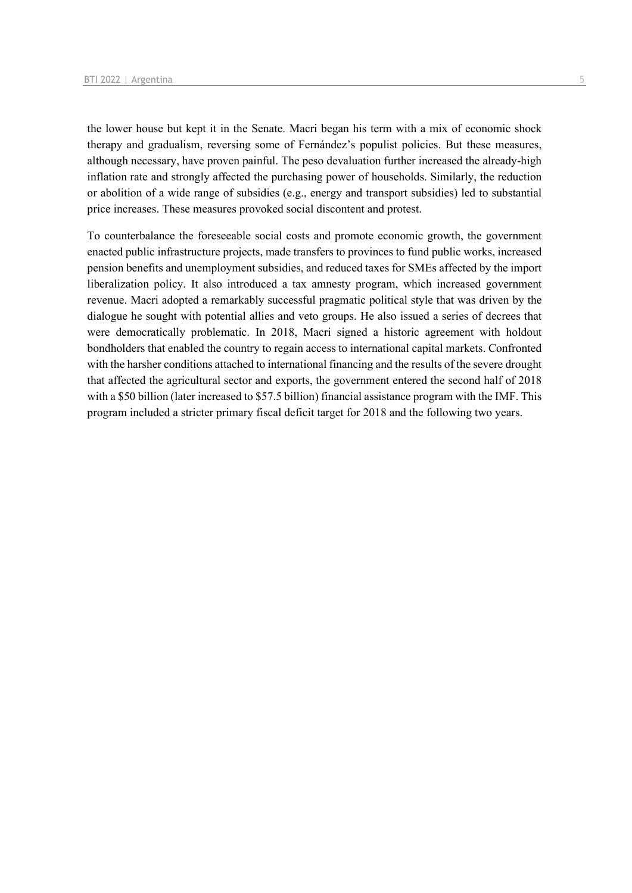the lower house but kept it in the Senate. Macri began his term with a mix of economic shock therapy and gradualism, reversing some of Fernández's populist policies. But these measures, although necessary, have proven painful. The peso devaluation further increased the already-high inflation rate and strongly affected the purchasing power of households. Similarly, the reduction or abolition of a wide range of subsidies (e.g., energy and transport subsidies) led to substantial price increases. These measures provoked social discontent and protest.

To counterbalance the foreseeable social costs and promote economic growth, the government enacted public infrastructure projects, made transfers to provinces to fund public works, increased pension benefits and unemployment subsidies, and reduced taxes for SMEs affected by the import liberalization policy. It also introduced a tax amnesty program, which increased government revenue. Macri adopted a remarkably successful pragmatic political style that was driven by the dialogue he sought with potential allies and veto groups. He also issued a series of decrees that were democratically problematic. In 2018, Macri signed a historic agreement with holdout bondholders that enabled the country to regain access to international capital markets. Confronted with the harsher conditions attached to international financing and the results of the severe drought that affected the agricultural sector and exports, the government entered the second half of 2018 with a \$50 billion (later increased to \$57.5 billion) financial assistance program with the IMF. This program included a stricter primary fiscal deficit target for 2018 and the following two years.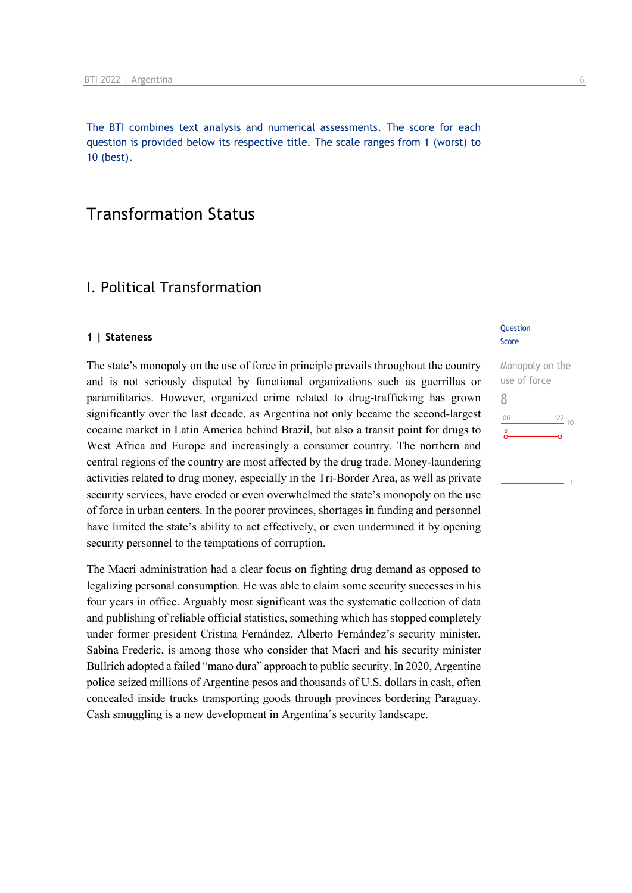The BTI combines text analysis and numerical assessments. The score for each question is provided below its respective title. The scale ranges from 1 (worst) to 10 (best).

## Transformation Status

## I. Political Transformation

#### **1 | Stateness**

The state's monopoly on the use of force in principle prevails throughout the country and is not seriously disputed by functional organizations such as guerrillas or paramilitaries. However, organized crime related to drug-trafficking has grown significantly over the last decade, as Argentina not only became the second-largest cocaine market in Latin America behind Brazil, but also a transit point for drugs to West Africa and Europe and increasingly a consumer country. The northern and central regions of the country are most affected by the drug trade. Money-laundering activities related to drug money, especially in the Tri-Border Area, as well as private security services, have eroded or even overwhelmed the state's monopoly on the use of force in urban centers. In the poorer provinces, shortages in funding and personnel have limited the state's ability to act effectively, or even undermined it by opening security personnel to the temptations of corruption.

The Macri administration had a clear focus on fighting drug demand as opposed to legalizing personal consumption. He was able to claim some security successes in his four years in office. Arguably most significant was the systematic collection of data and publishing of reliable official statistics, something which has stopped completely under former president Cristina Fernández. Alberto Fernández's security minister, Sabina Frederic, is among those who consider that Macri and his security minister Bullrich adopted a failed "mano dura" approach to public security. In 2020, Argentine police seized millions of Argentine pesos and thousands of U.S. dollars in cash, often concealed inside trucks transporting goods through provinces bordering Paraguay. Cash smuggling is a new development in Argentina´s security landscape.

#### **Question** Score

Monopoly on the use of force 8 $\frac{22}{10}$  $106$  $\sum_{i=1}^{8}$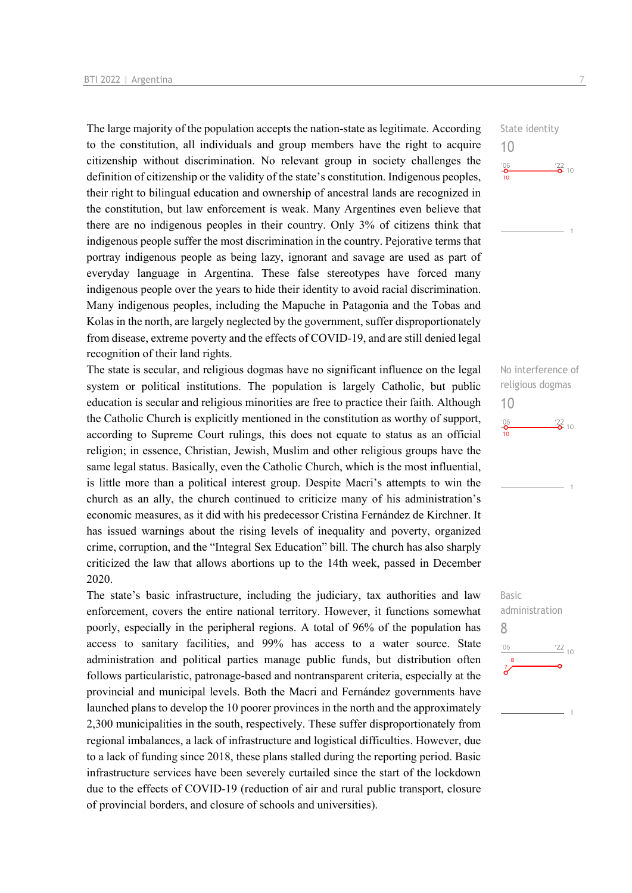The large majority of the population accepts the nation-state as legitimate. According to the constitution, all individuals and group members have the right to acquire citizenship without discrimination. No relevant group in society challenges the definition of citizenship or the validity of the state's constitution. Indigenous peoples, their right to bilingual education and ownership of ancestral lands are recognized in the constitution, but law enforcement is weak. Many Argentines even believe that there are no indigenous peoples in their country. Only 3% of citizens think that indigenous people suffer the most discrimination in the country. Pejorative terms that portray indigenous people as being lazy, ignorant and savage are used as part of everyday language in Argentina. These false stereotypes have forced many indigenous people over the years to hide their identity to avoid racial discrimination. Many indigenous peoples, including the Mapuche in Patagonia and the Tobas and Kolas in the north, are largely neglected by the government, suffer disproportionately from disease, extreme poverty and the effects of COVID-19, and are still denied legal recognition of their land rights.

The state is secular, and religious dogmas have no significant influence on the legal system or political institutions. The population is largely Catholic, but public education is secular and religious minorities are free to practice their faith. Although the Catholic Church is explicitly mentioned in the constitution as worthy of support, according to Supreme Court rulings, this does not equate to status as an official religion; in essence, Christian, Jewish, Muslim and other religious groups have the same legal status. Basically, even the Catholic Church, which is the most influential, is little more than a political interest group. Despite Macri's attempts to win the church as an ally, the church continued to criticize many of his administration's economic measures, as it did with his predecessor Cristina Fernández de Kirchner. It has issued warnings about the rising levels of inequality and poverty, organized crime, corruption, and the "Integral Sex Education" bill. The church has also sharply criticized the law that allows abortions up to the 14th week, passed in December 2020.

The state's basic infrastructure, including the judiciary, tax authorities and law enforcement, covers the entire national territory. However, it functions somewhat poorly, especially in the peripheral regions. A total of 96% of the population has access to sanitary facilities, and 99% has access to a water source. State administration and political parties manage public funds, but distribution often follows particularistic, patronage-based and nontransparent criteria, especially at the provincial and municipal levels. Both the Macri and Fernández governments have launched plans to develop the 10 poorer provinces in the north and the approximately 2,300 municipalities in the south, respectively. These suffer disproportionately from regional imbalances, a lack of infrastructure and logistical difficulties. However, due to a lack of funding since 2018, these plans stalled during the reporting period. Basic infrastructure services have been severely curtailed since the start of the lockdown due to the effects of COVID-19 (reduction of air and rural public transport, closure of provincial borders, and closure of schools and universities).

State identity 10  $\frac{106}{2}$  $\frac{22}{2}$  10

No interference of religious dogmas 10



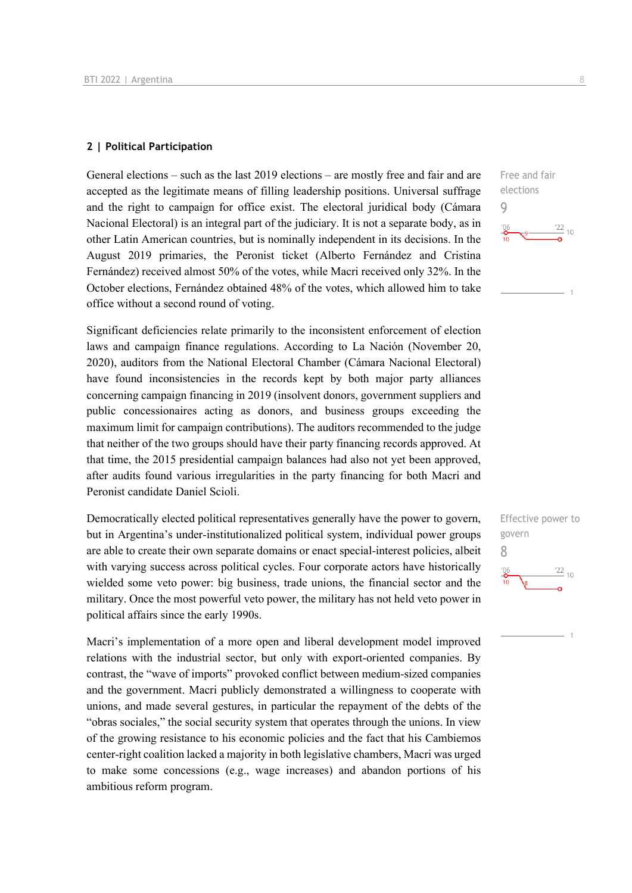#### **2 | Political Participation**

General elections – such as the last 2019 elections – are mostly free and fair and are accepted as the legitimate means of filling leadership positions. Universal suffrage and the right to campaign for office exist. The electoral juridical body (Cámara Nacional Electoral) is an integral part of the judiciary. It is not a separate body, as in other Latin American countries, but is nominally independent in its decisions. In the August 2019 primaries, the Peronist ticket (Alberto Fernández and Cristina Fernández) received almost 50% of the votes, while Macri received only 32%. In the October elections, Fernández obtained 48% of the votes, which allowed him to take office without a second round of voting.

Significant deficiencies relate primarily to the inconsistent enforcement of election laws and campaign finance regulations. According to La Nación (November 20, 2020), auditors from the National Electoral Chamber (Cámara Nacional Electoral) have found inconsistencies in the records kept by both major party alliances concerning campaign financing in 2019 (insolvent donors, government suppliers and public concessionaires acting as donors, and business groups exceeding the maximum limit for campaign contributions). The auditors recommended to the judge that neither of the two groups should have their party financing records approved. At that time, the 2015 presidential campaign balances had also not yet been approved, after audits found various irregularities in the party financing for both Macri and Peronist candidate Daniel Scioli.

Democratically elected political representatives generally have the power to govern, but in Argentina's under-institutionalized political system, individual power groups are able to create their own separate domains or enact special-interest policies, albeit with varying success across political cycles. Four corporate actors have historically wielded some veto power: big business, trade unions, the financial sector and the military. Once the most powerful veto power, the military has not held veto power in political affairs since the early 1990s.

Macri's implementation of a more open and liberal development model improved relations with the industrial sector, but only with export-oriented companies. By contrast, the "wave of imports" provoked conflict between medium-sized companies and the government. Macri publicly demonstrated a willingness to cooperate with unions, and made several gestures, in particular the repayment of the debts of the "obras sociales," the social security system that operates through the unions. In view of the growing resistance to his economic policies and the fact that his Cambiemos center-right coalition lacked a majority in both legislative chambers, Macri was urged to make some concessions (e.g., wage increases) and abandon portions of his ambitious reform program.



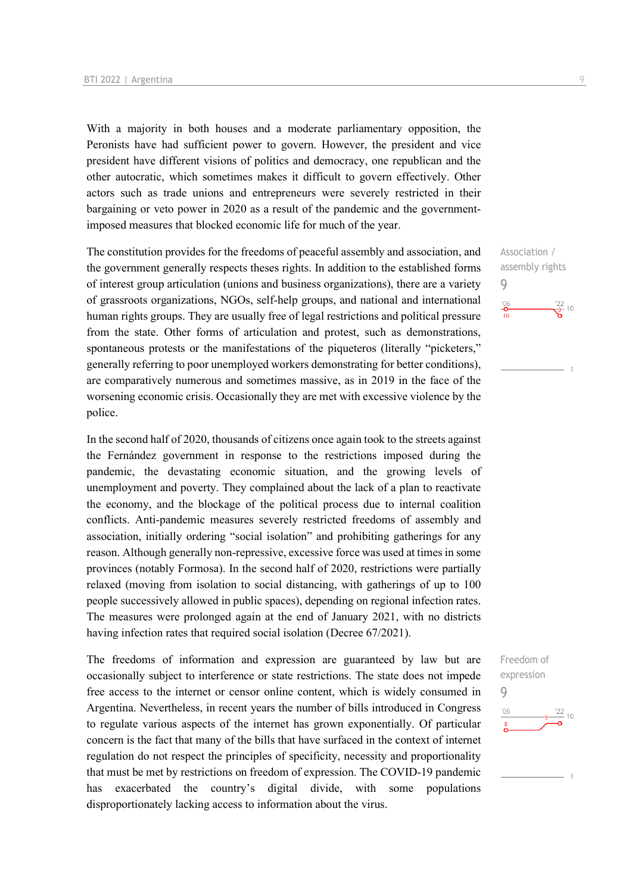With a majority in both houses and a moderate parliamentary opposition, the Peronists have had sufficient power to govern. However, the president and vice president have different visions of politics and democracy, one republican and the other autocratic, which sometimes makes it difficult to govern effectively. Other actors such as trade unions and entrepreneurs were severely restricted in their bargaining or veto power in 2020 as a result of the pandemic and the governmentimposed measures that blocked economic life for much of the year.

The constitution provides for the freedoms of peaceful assembly and association, and the government generally respects theses rights. In addition to the established forms of interest group articulation (unions and business organizations), there are a variety of grassroots organizations, NGOs, self-help groups, and national and international human rights groups. They are usually free of legal restrictions and political pressure from the state. Other forms of articulation and protest, such as demonstrations, spontaneous protests or the manifestations of the piqueteros (literally "picketers," generally referring to poor unemployed workers demonstrating for better conditions), are comparatively numerous and sometimes massive, as in 2019 in the face of the worsening economic crisis. Occasionally they are met with excessive violence by the police.

In the second half of 2020, thousands of citizens once again took to the streets against the Fernández government in response to the restrictions imposed during the pandemic, the devastating economic situation, and the growing levels of unemployment and poverty. They complained about the lack of a plan to reactivate the economy, and the blockage of the political process due to internal coalition conflicts. Anti-pandemic measures severely restricted freedoms of assembly and association, initially ordering "social isolation" and prohibiting gatherings for any reason. Although generally non-repressive, excessive force was used at times in some provinces (notably Formosa). In the second half of 2020, restrictions were partially relaxed (moving from isolation to social distancing, with gatherings of up to 100 people successively allowed in public spaces), depending on regional infection rates. The measures were prolonged again at the end of January 2021, with no districts having infection rates that required social isolation (Decree 67/2021).

The freedoms of information and expression are guaranteed by law but are occasionally subject to interference or state restrictions. The state does not impede free access to the internet or censor online content, which is widely consumed in Argentina. Nevertheless, in recent years the number of bills introduced in Congress to regulate various aspects of the internet has grown exponentially. Of particular concern is the fact that many of the bills that have surfaced in the context of internet regulation do not respect the principles of specificity, necessity and proportionality that must be met by restrictions on freedom of expression. The COVID-19 pandemic has exacerbated the country's digital divide, with some populations disproportionately lacking access to information about the virus.



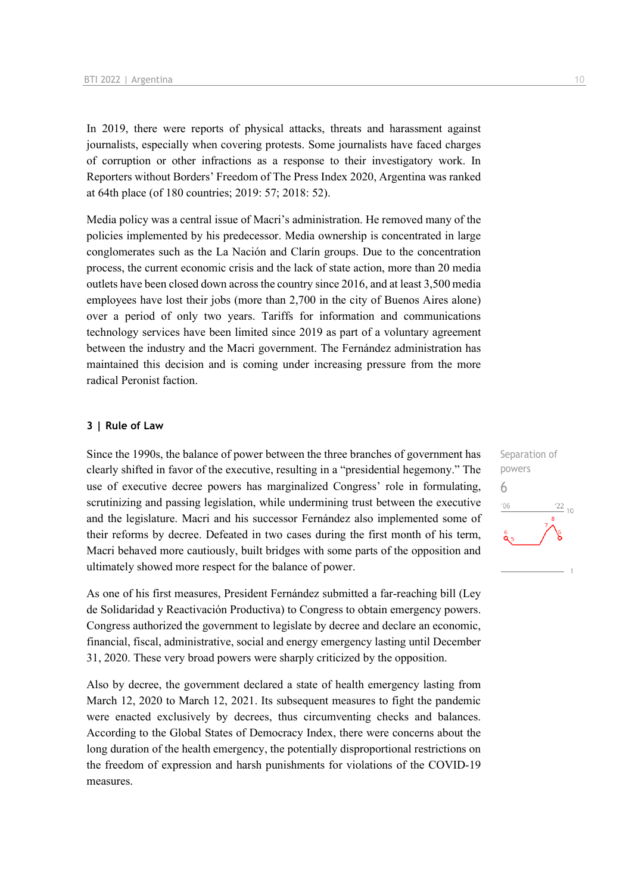In 2019, there were reports of physical attacks, threats and harassment against journalists, especially when covering protests. Some journalists have faced charges of corruption or other infractions as a response to their investigatory work. In Reporters without Borders' Freedom of The Press Index 2020, Argentina was ranked at 64th place (of 180 countries; 2019: 57; 2018: 52).

Media policy was a central issue of Macri's administration. He removed many of the policies implemented by his predecessor. Media ownership is concentrated in large conglomerates such as the La Nación and Clarín groups. Due to the concentration process, the current economic crisis and the lack of state action, more than 20 media outlets have been closed down across the country since 2016, and at least 3,500 media employees have lost their jobs (more than 2,700 in the city of Buenos Aires alone) over a period of only two years. Tariffs for information and communications technology services have been limited since 2019 as part of a voluntary agreement between the industry and the Macri government. The Fernández administration has maintained this decision and is coming under increasing pressure from the more radical Peronist faction.

#### **3 | Rule of Law**

Since the 1990s, the balance of power between the three branches of government has clearly shifted in favor of the executive, resulting in a "presidential hegemony." The use of executive decree powers has marginalized Congress' role in formulating, scrutinizing and passing legislation, while undermining trust between the executive and the legislature. Macri and his successor Fernández also implemented some of their reforms by decree. Defeated in two cases during the first month of his term, Macri behaved more cautiously, built bridges with some parts of the opposition and ultimately showed more respect for the balance of power.

As one of his first measures, President Fernández submitted a far-reaching bill (Ley de Solidaridad y Reactivación Productiva) to Congress to obtain emergency powers. Congress authorized the government to legislate by decree and declare an economic, financial, fiscal, administrative, social and energy emergency lasting until December 31, 2020. These very broad powers were sharply criticized by the opposition.

Also by decree, the government declared a state of health emergency lasting from March 12, 2020 to March 12, 2021. Its subsequent measures to fight the pandemic were enacted exclusively by decrees, thus circumventing checks and balances. According to the Global States of Democracy Index, there were concerns about the long duration of the health emergency, the potentially disproportional restrictions on the freedom of expression and harsh punishments for violations of the COVID-19 measures.

Separation of powers 6 $^{\prime}$ O $\epsilon$  $10$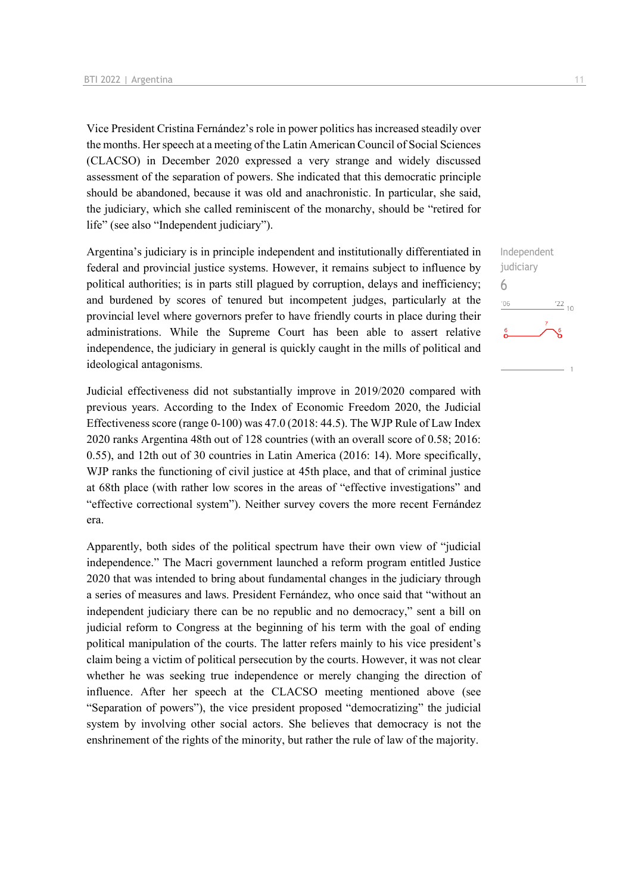Vice President Cristina Fernández's role in power politics has increased steadily over the months. Her speech at a meeting of the Latin American Council of Social Sciences (CLACSO) in December 2020 expressed a very strange and widely discussed assessment of the separation of powers. She indicated that this democratic principle should be abandoned, because it was old and anachronistic. In particular, she said, the judiciary, which she called reminiscent of the monarchy, should be "retired for life" (see also "Independent judiciary").

Argentina's judiciary is in principle independent and institutionally differentiated in federal and provincial justice systems. However, it remains subject to influence by political authorities; is in parts still plagued by corruption, delays and inefficiency; and burdened by scores of tenured but incompetent judges, particularly at the provincial level where governors prefer to have friendly courts in place during their administrations. While the Supreme Court has been able to assert relative independence, the judiciary in general is quickly caught in the mills of political and ideological antagonisms.

Judicial effectiveness did not substantially improve in 2019/2020 compared with previous years. According to the Index of Economic Freedom 2020, the Judicial Effectiveness score (range 0-100) was 47.0 (2018: 44.5). The WJP Rule of Law Index 2020 ranks Argentina 48th out of 128 countries (with an overall score of 0.58; 2016: 0.55), and 12th out of 30 countries in Latin America (2016: 14). More specifically, WJP ranks the functioning of civil justice at 45th place, and that of criminal justice at 68th place (with rather low scores in the areas of "effective investigations" and "effective correctional system"). Neither survey covers the more recent Fernández era.

Apparently, both sides of the political spectrum have their own view of "judicial independence." The Macri government launched a reform program entitled Justice 2020 that was intended to bring about fundamental changes in the judiciary through a series of measures and laws. President Fernández, who once said that "without an independent judiciary there can be no republic and no democracy," sent a bill on judicial reform to Congress at the beginning of his term with the goal of ending political manipulation of the courts. The latter refers mainly to his vice president's claim being a victim of political persecution by the courts. However, it was not clear whether he was seeking true independence or merely changing the direction of influence. After her speech at the CLACSO meeting mentioned above (see "Separation of powers"), the vice president proposed "democratizing" the judicial system by involving other social actors. She believes that democracy is not the enshrinement of the rights of the minority, but rather the rule of law of the majority.

Independent judiciary 6 $-06$  $\frac{22}{10}$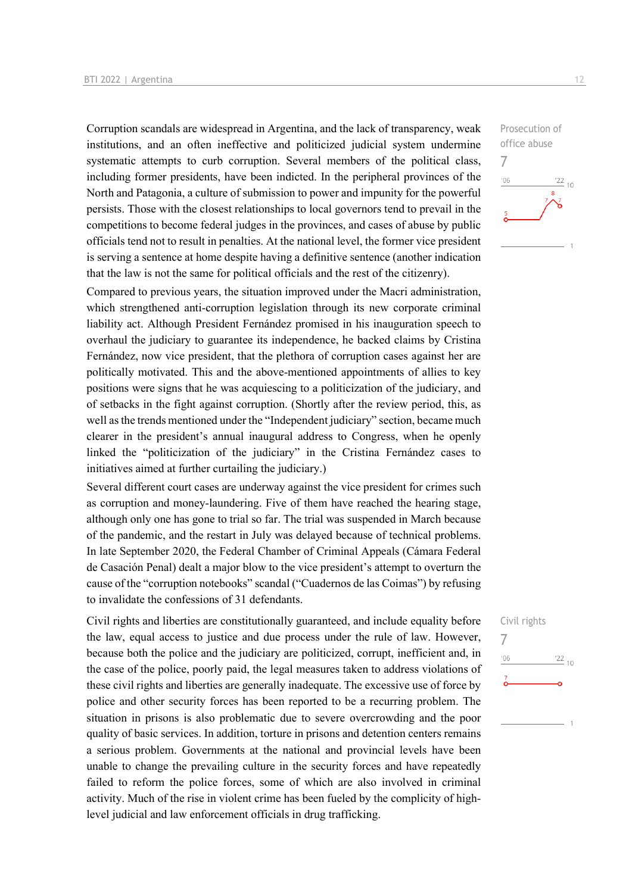Corruption scandals are widespread in Argentina, and the lack of transparency, weak institutions, and an often ineffective and politicized judicial system undermine systematic attempts to curb corruption. Several members of the political class, including former presidents, have been indicted. In the peripheral provinces of the North and Patagonia, a culture of submission to power and impunity for the powerful persists. Those with the closest relationships to local governors tend to prevail in the competitions to become federal judges in the provinces, and cases of abuse by public officials tend not to result in penalties. At the national level, the former vice president is serving a sentence at home despite having a definitive sentence (another indication that the law is not the same for political officials and the rest of the citizenry).

Compared to previous years, the situation improved under the Macri administration, which strengthened anti-corruption legislation through its new corporate criminal liability act. Although President Fernández promised in his inauguration speech to overhaul the judiciary to guarantee its independence, he backed claims by Cristina Fernández, now vice president, that the plethora of corruption cases against her are politically motivated. This and the above-mentioned appointments of allies to key positions were signs that he was acquiescing to a politicization of the judiciary, and of setbacks in the fight against corruption. (Shortly after the review period, this, as well as the trends mentioned under the "Independent judiciary" section, became much clearer in the president's annual inaugural address to Congress, when he openly linked the "politicization of the judiciary" in the Cristina Fernández cases to initiatives aimed at further curtailing the judiciary.)

Several different court cases are underway against the vice president for crimes such as corruption and money-laundering. Five of them have reached the hearing stage, although only one has gone to trial so far. The trial was suspended in March because of the pandemic, and the restart in July was delayed because of technical problems. In late September 2020, the Federal Chamber of Criminal Appeals (Cámara Federal de Casación Penal) dealt a major blow to the vice president's attempt to overturn the cause of the "corruption notebooks" scandal ("Cuadernos de las Coimas") by refusing to invalidate the confessions of 31 defendants.

Civil rights and liberties are constitutionally guaranteed, and include equality before the law, equal access to justice and due process under the rule of law. However, because both the police and the judiciary are politicized, corrupt, inefficient and, in the case of the police, poorly paid, the legal measures taken to address violations of these civil rights and liberties are generally inadequate. The excessive use of force by police and other security forces has been reported to be a recurring problem. The situation in prisons is also problematic due to severe overcrowding and the poor quality of basic services. In addition, torture in prisons and detention centers remains a serious problem. Governments at the national and provincial levels have been unable to change the prevailing culture in the security forces and have repeatedly failed to reform the police forces, some of which are also involved in criminal activity. Much of the rise in violent crime has been fueled by the complicity of highlevel judicial and law enforcement officials in drug trafficking.



## Civil rights 7 $\frac{22}{10}$  $-06$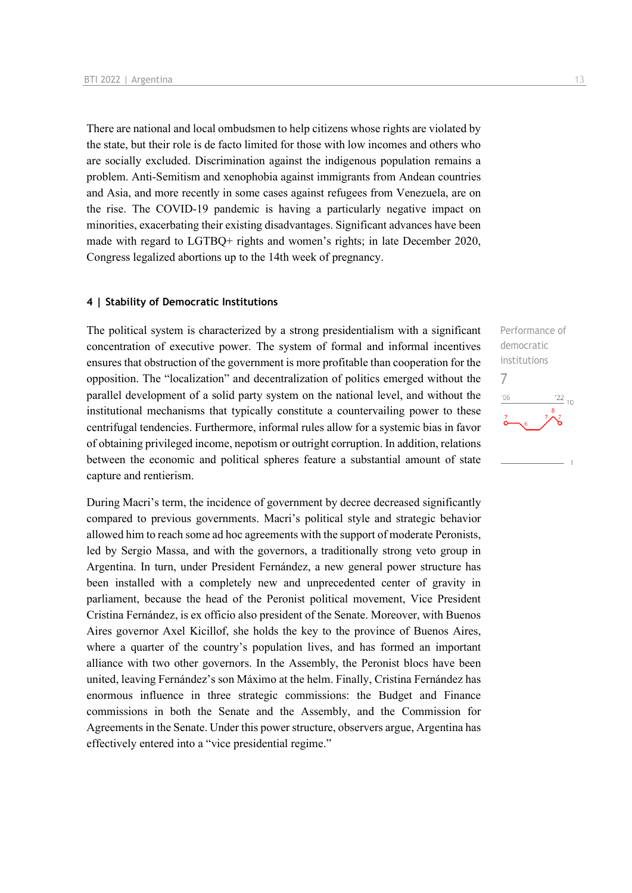There are national and local ombudsmen to help citizens whose rights are violated by the state, but their role is de facto limited for those with low incomes and others who are socially excluded. Discrimination against the indigenous population remains a problem. Anti-Semitism and xenophobia against immigrants from Andean countries and Asia, and more recently in some cases against refugees from Venezuela, are on the rise. The COVID-19 pandemic is having a particularly negative impact on minorities, exacerbating their existing disadvantages. Significant advances have been made with regard to LGTBQ+ rights and women's rights; in late December 2020, Congress legalized abortions up to the 14th week of pregnancy.

#### **4 | Stability of Democratic Institutions**

The political system is characterized by a strong presidentialism with a significant concentration of executive power. The system of formal and informal incentives ensures that obstruction of the government is more profitable than cooperation for the opposition. The "localization" and decentralization of politics emerged without the parallel development of a solid party system on the national level, and without the institutional mechanisms that typically constitute a countervailing power to these centrifugal tendencies. Furthermore, informal rules allow for a systemic bias in favor of obtaining privileged income, nepotism or outright corruption. In addition, relations between the economic and political spheres feature a substantial amount of state capture and rentierism.

During Macri's term, the incidence of government by decree decreased significantly compared to previous governments. Macri's political style and strategic behavior allowed him to reach some ad hoc agreements with the support of moderate Peronists, led by Sergio Massa, and with the governors, a traditionally strong veto group in Argentina. In turn, under President Fernández, a new general power structure has been installed with a completely new and unprecedented center of gravity in parliament, because the head of the Peronist political movement, Vice President Cristina Fernández, is ex officio also president of the Senate. Moreover, with Buenos Aires governor Axel Kicillof, she holds the key to the province of Buenos Aires, where a quarter of the country's population lives, and has formed an important alliance with two other governors. In the Assembly, the Peronist blocs have been united, leaving Fernández's son Máximo at the helm. Finally, Cristina Fernández has enormous influence in three strategic commissions: the Budget and Finance commissions in both the Senate and the Assembly, and the Commission for Agreements in the Senate. Under this power structure, observers argue, Argentina has effectively entered into a "vice presidential regime."

Performance of democratic institutions 7 $^{\prime}06$  $\frac{22}{10}$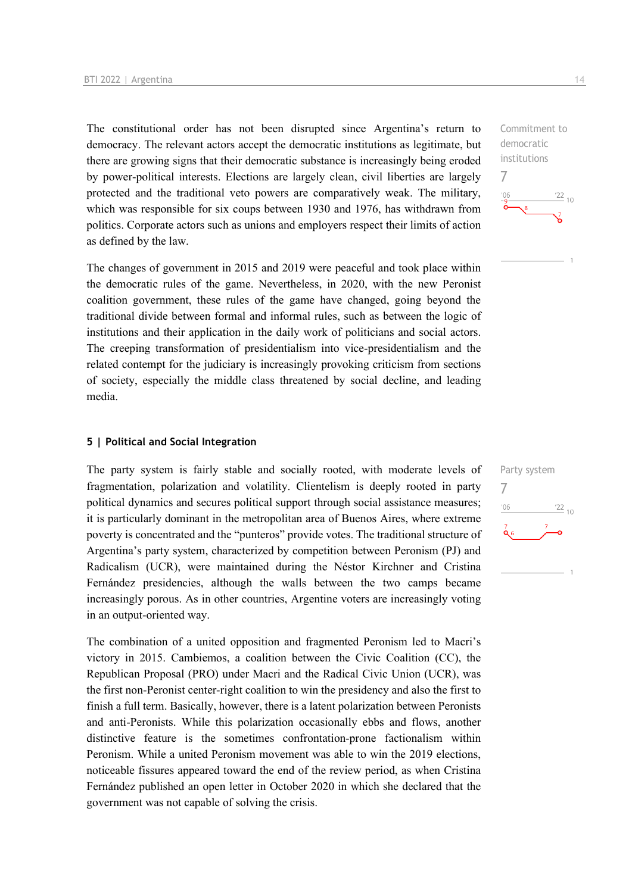The constitutional order has not been disrupted since Argentina's return to democracy. The relevant actors accept the democratic institutions as legitimate, but there are growing signs that their democratic substance is increasingly being eroded by power-political interests. Elections are largely clean, civil liberties are largely protected and the traditional veto powers are comparatively weak. The military, which was responsible for six coups between 1930 and 1976, has withdrawn from politics. Corporate actors such as unions and employers respect their limits of action as defined by the law.

The changes of government in 2015 and 2019 were peaceful and took place within the democratic rules of the game. Nevertheless, in 2020, with the new Peronist coalition government, these rules of the game have changed, going beyond the traditional divide between formal and informal rules, such as between the logic of institutions and their application in the daily work of politicians and social actors. The creeping transformation of presidentialism into vice-presidentialism and the related contempt for the judiciary is increasingly provoking criticism from sections of society, especially the middle class threatened by social decline, and leading media.

#### **5 | Political and Social Integration**

The party system is fairly stable and socially rooted, with moderate levels of fragmentation, polarization and volatility. Clientelism is deeply rooted in party political dynamics and secures political support through social assistance measures; it is particularly dominant in the metropolitan area of Buenos Aires, where extreme poverty is concentrated and the "punteros" provide votes. The traditional structure of Argentina's party system, characterized by competition between Peronism (PJ) and Radicalism (UCR), were maintained during the Néstor Kirchner and Cristina Fernández presidencies, although the walls between the two camps became increasingly porous. As in other countries, Argentine voters are increasingly voting in an output-oriented way.

The combination of a united opposition and fragmented Peronism led to Macri's victory in 2015. Cambiemos, a coalition between the Civic Coalition (CC), the Republican Proposal (PRO) under Macri and the Radical Civic Union (UCR), was the first non-Peronist center-right coalition to win the presidency and also the first to finish a full term. Basically, however, there is a latent polarization between Peronists and anti-Peronists. While this polarization occasionally ebbs and flows, another distinctive feature is the sometimes confrontation-prone factionalism within Peronism. While a united Peronism movement was able to win the 2019 elections, noticeable fissures appeared toward the end of the review period, as when Cristina Fernández published an open letter in October 2020 in which she declared that the government was not capable of solving the crisis.

Commitment to democratic institutions 7  $\frac{22}{10}$  $106$ 

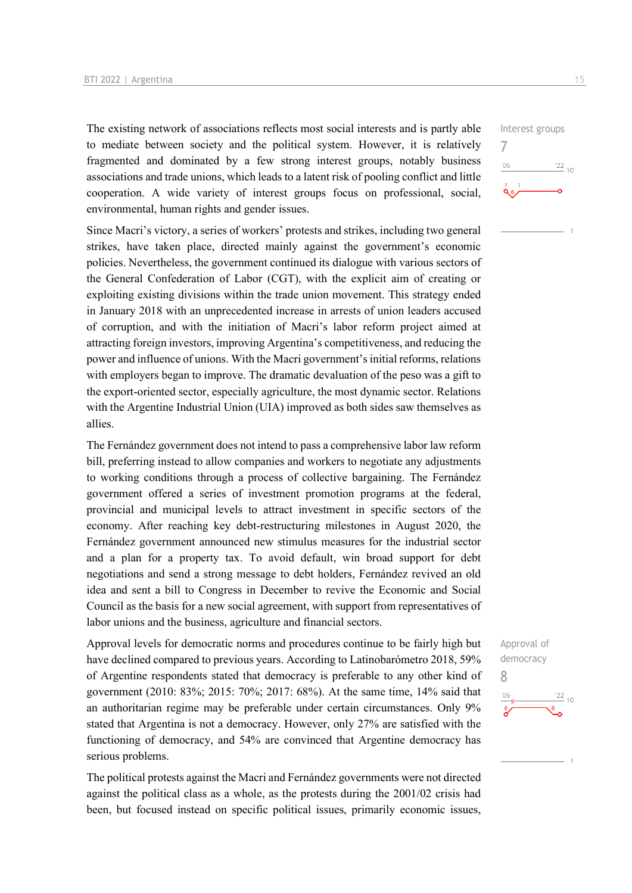The existing network of associations reflects most social interests and is partly able to mediate between society and the political system. However, it is relatively fragmented and dominated by a few strong interest groups, notably business associations and trade unions, which leads to a latent risk of pooling conflict and little cooperation. A wide variety of interest groups focus on professional, social, environmental, human rights and gender issues.

Since Macri's victory, a series of workers' protests and strikes, including two general strikes, have taken place, directed mainly against the government's economic policies. Nevertheless, the government continued its dialogue with various sectors of the General Confederation of Labor (CGT), with the explicit aim of creating or exploiting existing divisions within the trade union movement. This strategy ended in January 2018 with an unprecedented increase in arrests of union leaders accused of corruption, and with the initiation of Macri's labor reform project aimed at attracting foreign investors, improving Argentina's competitiveness, and reducing the power and influence of unions. With the Macri government's initial reforms, relations with employers began to improve. The dramatic devaluation of the peso was a gift to the export-oriented sector, especially agriculture, the most dynamic sector. Relations with the Argentine Industrial Union (UIA) improved as both sides saw themselves as allies.

The Fernández government does not intend to pass a comprehensive labor law reform bill, preferring instead to allow companies and workers to negotiate any adjustments to working conditions through a process of collective bargaining. The Fernández government offered a series of investment promotion programs at the federal, provincial and municipal levels to attract investment in specific sectors of the economy. After reaching key debt-restructuring milestones in August 2020, the Fernández government announced new stimulus measures for the industrial sector and a plan for a property tax. To avoid default, win broad support for debt negotiations and send a strong message to debt holders, Fernández revived an old idea and sent a bill to Congress in December to revive the Economic and Social Council as the basis for a new social agreement, with support from representatives of labor unions and the business, agriculture and financial sectors.

Approval levels for democratic norms and procedures continue to be fairly high but have declined compared to previous years. According to Latinobarómetro 2018, 59% of Argentine respondents stated that democracy is preferable to any other kind of government (2010: 83%; 2015: 70%; 2017: 68%). At the same time, 14% said that an authoritarian regime may be preferable under certain circumstances. Only 9% stated that Argentina is not a democracy. However, only 27% are satisfied with the functioning of democracy, and 54% are convinced that Argentine democracy has serious problems.

The political protests against the Macri and Fernández governments were not directed against the political class as a whole, as the protests during the 2001/02 crisis had been, but focused instead on specific political issues, primarily economic issues,



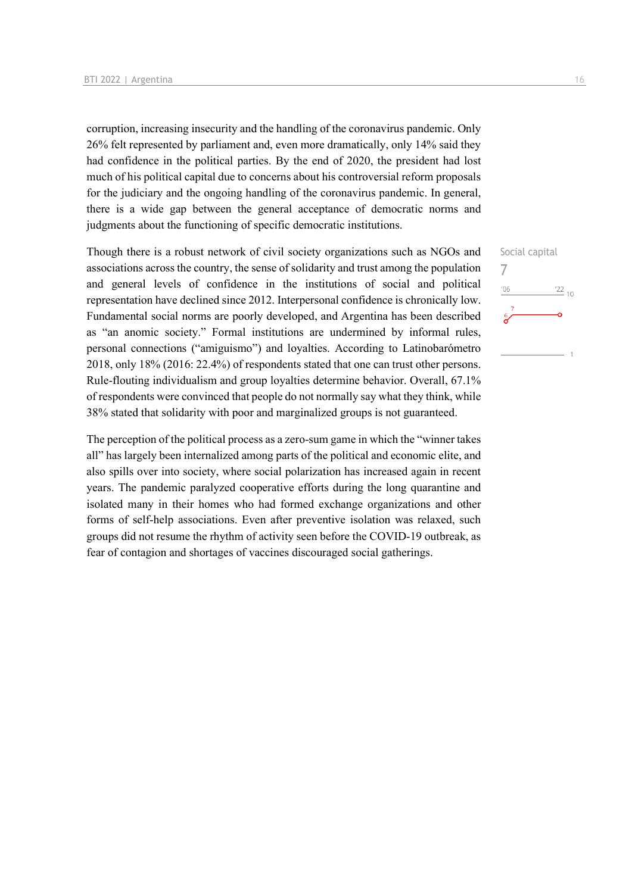corruption, increasing insecurity and the handling of the coronavirus pandemic. Only 26% felt represented by parliament and, even more dramatically, only 14% said they had confidence in the political parties. By the end of 2020, the president had lost much of his political capital due to concerns about his controversial reform proposals for the judiciary and the ongoing handling of the coronavirus pandemic. In general, there is a wide gap between the general acceptance of democratic norms and judgments about the functioning of specific democratic institutions.

Though there is a robust network of civil society organizations such as NGOs and associations across the country, the sense of solidarity and trust among the population and general levels of confidence in the institutions of social and political representation have declined since 2012. Interpersonal confidence is chronically low. Fundamental social norms are poorly developed, and Argentina has been described as "an anomic society." Formal institutions are undermined by informal rules, personal connections ("amiguismo") and loyalties. According to Latinobarómetro 2018, only 18% (2016: 22.4%) of respondents stated that one can trust other persons. Rule-flouting individualism and group loyalties determine behavior. Overall, 67.1% of respondents were convinced that people do not normally say what they think, while 38% stated that solidarity with poor and marginalized groups is not guaranteed.

The perception of the political process as a zero-sum game in which the "winner takes all" has largely been internalized among parts of the political and economic elite, and also spills over into society, where social polarization has increased again in recent years. The pandemic paralyzed cooperative efforts during the long quarantine and isolated many in their homes who had formed exchange organizations and other forms of self-help associations. Even after preventive isolation was relaxed, such groups did not resume the rhythm of activity seen before the COVID-19 outbreak, as fear of contagion and shortages of vaccines discouraged social gatherings.

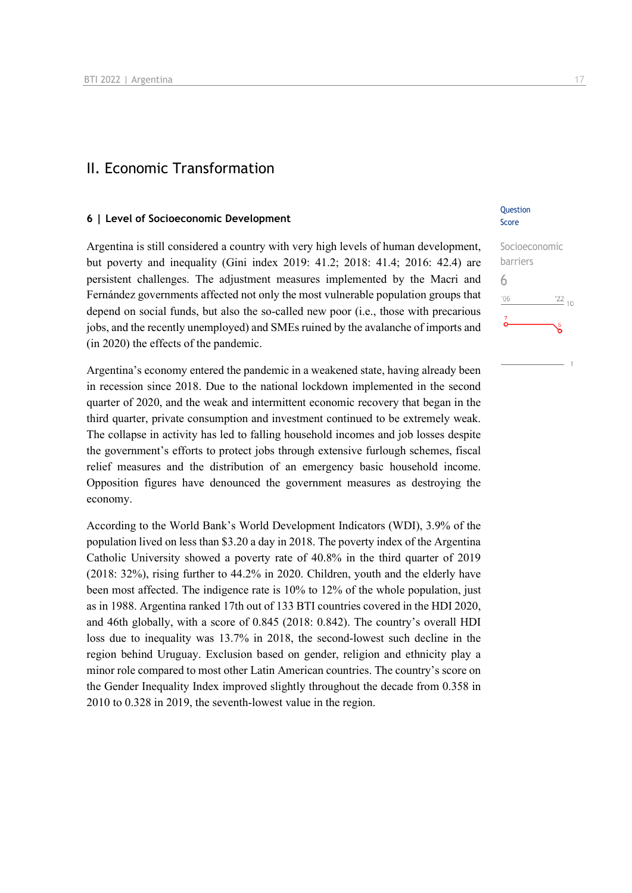### II. Economic Transformation

#### **6 | Level of Socioeconomic Development**

Argentina is still considered a country with very high levels of human development, but poverty and inequality (Gini index 2019: 41.2; 2018: 41.4; 2016: 42.4) are persistent challenges. The adjustment measures implemented by the Macri and Fernández governments affected not only the most vulnerable population groups that depend on social funds, but also the so-called new poor (i.e., those with precarious jobs, and the recently unemployed) and SMEs ruined by the avalanche of imports and (in 2020) the effects of the pandemic.

Argentina's economy entered the pandemic in a weakened state, having already been in recession since 2018. Due to the national lockdown implemented in the second quarter of 2020, and the weak and intermittent economic recovery that began in the third quarter, private consumption and investment continued to be extremely weak. The collapse in activity has led to falling household incomes and job losses despite the government's efforts to protect jobs through extensive furlough schemes, fiscal relief measures and the distribution of an emergency basic household income. Opposition figures have denounced the government measures as destroying the economy.

According to the World Bank's World Development Indicators (WDI), 3.9% of the population lived on less than \$3.20 a day in 2018. The poverty index of the Argentina Catholic University showed a poverty rate of 40.8% in the third quarter of 2019 (2018: 32%), rising further to 44.2% in 2020. Children, youth and the elderly have been most affected. The indigence rate is 10% to 12% of the whole population, just as in 1988. Argentina ranked 17th out of 133 BTI countries covered in the HDI 2020, and 46th globally, with a score of 0.845 (2018: 0.842). The country's overall HDI loss due to inequality was 13.7% in 2018, the second-lowest such decline in the region behind Uruguay. Exclusion based on gender, religion and ethnicity play a minor role compared to most other Latin American countries. The country's score on the Gender Inequality Index improved slightly throughout the decade from 0.358 in 2010 to 0.328 in 2019, the seventh-lowest value in the region.

#### **Ouestion** Score

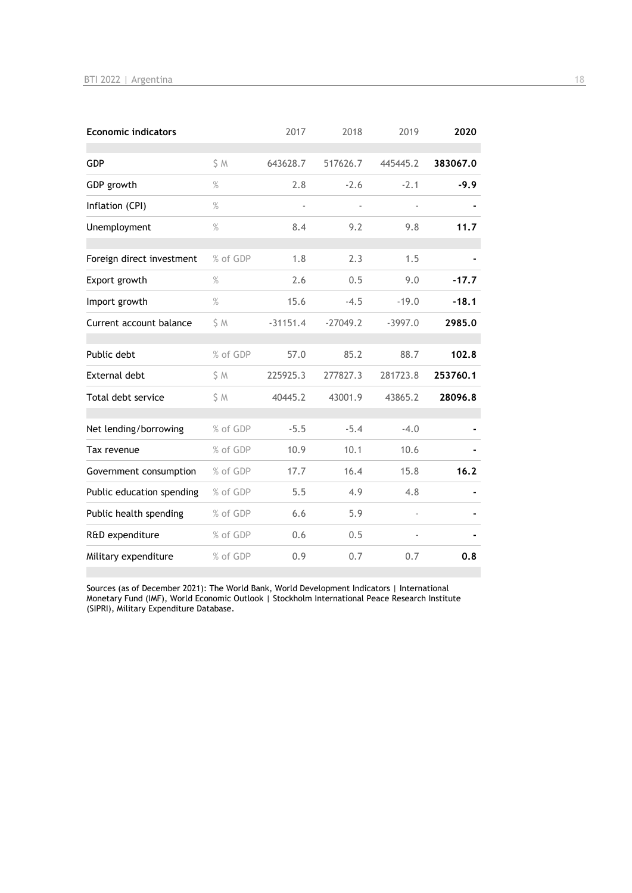| <b>Economic indicators</b> |          | 2017          | 2018       | 2019      | 2020     |
|----------------------------|----------|---------------|------------|-----------|----------|
| <b>GDP</b>                 | S M      | 643628.7      | 517626.7   | 445445.2  | 383067.0 |
| GDP growth                 | $\%$     | 2.8           | $-2.6$     | $-2.1$    | $-9.9$   |
| Inflation (CPI)            | $\%$     | $\frac{1}{2}$ |            |           |          |
| Unemployment               | $\%$     | 8.4           | 9.2        | 9.8       | 11.7     |
| Foreign direct investment  | % of GDP | 1.8           | 2.3        | 1.5       |          |
| Export growth              | $\%$     | 2.6           | 0.5        | 9.0       | $-17.7$  |
| Import growth              | $\%$     | 15.6          | $-4.5$     | $-19.0$   | $-18.1$  |
| Current account balance    | \$M      | $-31151.4$    | $-27049.2$ | $-3997.0$ | 2985.0   |
| Public debt                | % of GDP | 57.0          | 85.2       | 88.7      | 102.8    |
| <b>External debt</b>       | \$M      | 225925.3      | 277827.3   | 281723.8  | 253760.1 |
| Total debt service         | \$M      | 40445.2       | 43001.9    | 43865.2   | 28096.8  |
| Net lending/borrowing      | % of GDP | $-5.5$        | $-5.4$     | $-4.0$    |          |
| Tax revenue                | % of GDP | 10.9          | 10.1       | 10.6      |          |
| Government consumption     | % of GDP | 17.7          | 16.4       | 15.8      | 16.2     |
| Public education spending  | % of GDP | 5.5           | 4.9        | 4.8       |          |
| Public health spending     | % of GDP | 6.6           | 5.9        |           |          |
| R&D expenditure            | % of GDP | 0.6           | 0.5        |           |          |
| Military expenditure       | % of GDP | 0.9           | 0.7        | 0.7       | 0.8      |

Sources (as of December 2021): The World Bank, World Development Indicators | International Monetary Fund (IMF), World Economic Outlook | Stockholm International Peace Research Institute (SIPRI), Military Expenditure Database.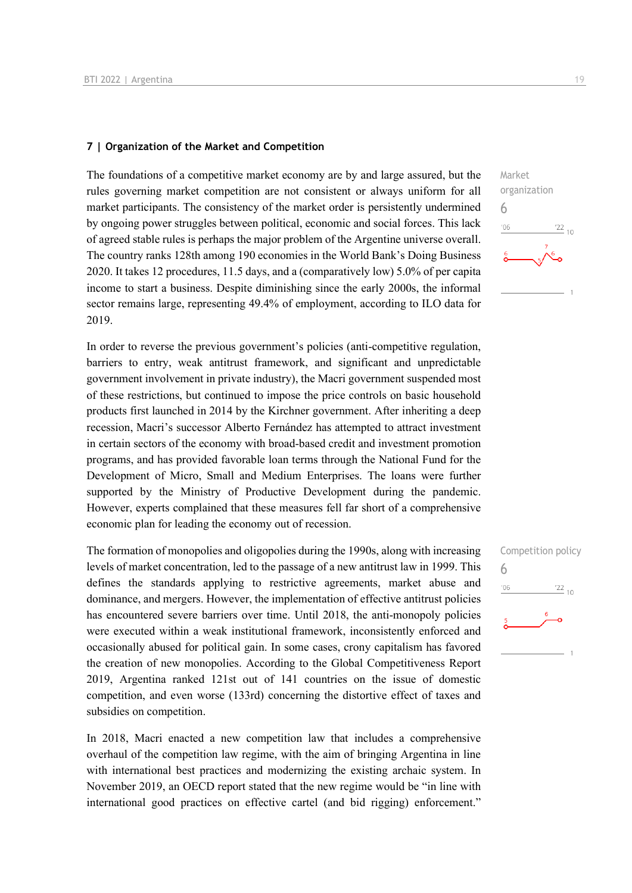#### **7 | Organization of the Market and Competition**

The foundations of a competitive market economy are by and large assured, but the rules governing market competition are not consistent or always uniform for all market participants. The consistency of the market order is persistently undermined by ongoing power struggles between political, economic and social forces. This lack of agreed stable rules is perhaps the major problem of the Argentine universe overall. The country ranks 128th among 190 economies in the World Bank's Doing Business 2020. It takes 12 procedures, 11.5 days, and a (comparatively low) 5.0% of per capita income to start a business. Despite diminishing since the early 2000s, the informal sector remains large, representing 49.4% of employment, according to ILO data for 2019.

In order to reverse the previous government's policies (anti-competitive regulation, barriers to entry, weak antitrust framework, and significant and unpredictable government involvement in private industry), the Macri government suspended most of these restrictions, but continued to impose the price controls on basic household products first launched in 2014 by the Kirchner government. After inheriting a deep recession, Macri's successor Alberto Fernández has attempted to attract investment in certain sectors of the economy with broad-based credit and investment promotion programs, and has provided favorable loan terms through the National Fund for the Development of Micro, Small and Medium Enterprises. The loans were further supported by the Ministry of Productive Development during the pandemic. However, experts complained that these measures fell far short of a comprehensive economic plan for leading the economy out of recession.

The formation of monopolies and oligopolies during the 1990s, along with increasing levels of market concentration, led to the passage of a new antitrust law in 1999. This defines the standards applying to restrictive agreements, market abuse and dominance, and mergers. However, the implementation of effective antitrust policies has encountered severe barriers over time. Until 2018, the anti-monopoly policies were executed within a weak institutional framework, inconsistently enforced and occasionally abused for political gain. In some cases, crony capitalism has favored the creation of new monopolies. According to the Global Competitiveness Report 2019, Argentina ranked 121st out of 141 countries on the issue of domestic competition, and even worse (133rd) concerning the distortive effect of taxes and subsidies on competition.

In 2018, Macri enacted a new competition law that includes a comprehensive overhaul of the competition law regime, with the aim of bringing Argentina in line with international best practices and modernizing the existing archaic system. In November 2019, an OECD report stated that the new regime would be "in line with international good practices on effective cartel (and bid rigging) enforcement."



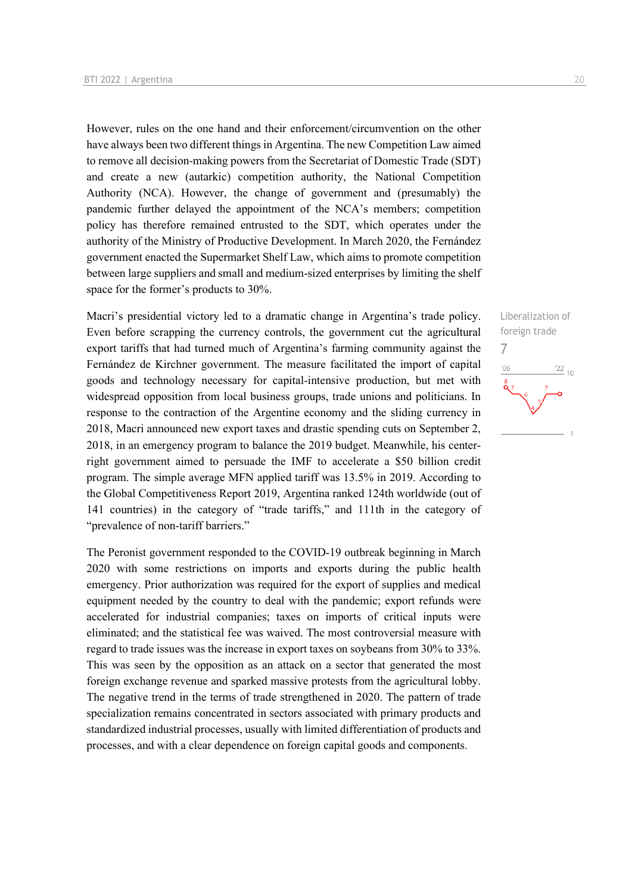However, rules on the one hand and their enforcement/circumvention on the other have always been two different things in Argentina. The new Competition Law aimed to remove all decision-making powers from the Secretariat of Domestic Trade (SDT) and create a new (autarkic) competition authority, the National Competition Authority (NCA). However, the change of government and (presumably) the pandemic further delayed the appointment of the NCA's members; competition policy has therefore remained entrusted to the SDT, which operates under the authority of the Ministry of Productive Development. In March 2020, the Fernández government enacted the Supermarket Shelf Law, which aims to promote competition between large suppliers and small and medium-sized enterprises by limiting the shelf space for the former's products to 30%.

Macri's presidential victory led to a dramatic change in Argentina's trade policy. Even before scrapping the currency controls, the government cut the agricultural export tariffs that had turned much of Argentina's farming community against the Fernández de Kirchner government. The measure facilitated the import of capital goods and technology necessary for capital-intensive production, but met with widespread opposition from local business groups, trade unions and politicians. In response to the contraction of the Argentine economy and the sliding currency in 2018, Macri announced new export taxes and drastic spending cuts on September 2, 2018, in an emergency program to balance the 2019 budget. Meanwhile, his centerright government aimed to persuade the IMF to accelerate a \$50 billion credit program. The simple average MFN applied tariff was 13.5% in 2019. According to the Global Competitiveness Report 2019, Argentina ranked 124th worldwide (out of 141 countries) in the category of "trade tariffs," and 111th in the category of "prevalence of non-tariff barriers."

The Peronist government responded to the COVID-19 outbreak beginning in March 2020 with some restrictions on imports and exports during the public health emergency. Prior authorization was required for the export of supplies and medical equipment needed by the country to deal with the pandemic; export refunds were accelerated for industrial companies; taxes on imports of critical inputs were eliminated; and the statistical fee was waived. The most controversial measure with regard to trade issues was the increase in export taxes on soybeans from 30% to 33%. This was seen by the opposition as an attack on a sector that generated the most foreign exchange revenue and sparked massive protests from the agricultural lobby. The negative trend in the terms of trade strengthened in 2020. The pattern of trade specialization remains concentrated in sectors associated with primary products and standardized industrial processes, usually with limited differentiation of products and processes, and with a clear dependence on foreign capital goods and components.

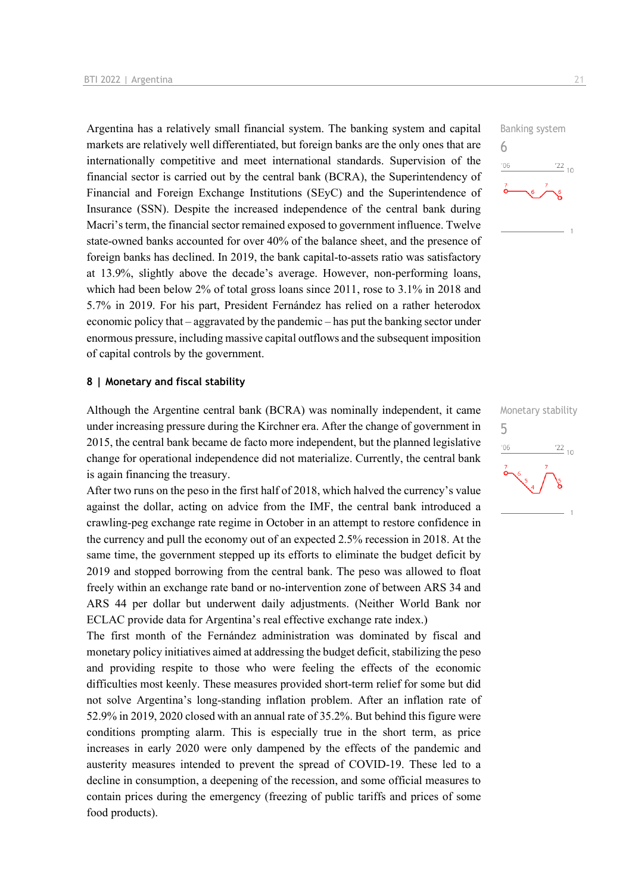Argentina has a relatively small financial system. The banking system and capital markets are relatively well differentiated, but foreign banks are the only ones that are internationally competitive and meet international standards. Supervision of the financial sector is carried out by the central bank (BCRA), the Superintendency of Financial and Foreign Exchange Institutions (SEyC) and the Superintendence of Insurance (SSN). Despite the increased independence of the central bank during Macri's term, the financial sector remained exposed to government influence. Twelve state-owned banks accounted for over 40% of the balance sheet, and the presence of foreign banks has declined. In 2019, the bank capital-to-assets ratio was satisfactory at 13.9%, slightly above the decade's average. However, non-performing loans, which had been below 2% of total gross loans since 2011, rose to 3.1% in 2018 and 5.7% in 2019. For his part, President Fernández has relied on a rather heterodox economic policy that – aggravated by the pandemic – has put the banking sector under enormous pressure, including massive capital outflows and the subsequent imposition of capital controls by the government.

#### **8 | Monetary and fiscal stability**

Although the Argentine central bank (BCRA) was nominally independent, it came under increasing pressure during the Kirchner era. After the change of government in 2015, the central bank became de facto more independent, but the planned legislative change for operational independence did not materialize. Currently, the central bank is again financing the treasury.

After two runs on the peso in the first half of 2018, which halved the currency's value against the dollar, acting on advice from the IMF, the central bank introduced a crawling-peg exchange rate regime in October in an attempt to restore confidence in the currency and pull the economy out of an expected 2.5% recession in 2018. At the same time, the government stepped up its efforts to eliminate the budget deficit by 2019 and stopped borrowing from the central bank. The peso was allowed to float freely within an exchange rate band or no-intervention zone of between ARS 34 and ARS 44 per dollar but underwent daily adjustments. (Neither World Bank nor ECLAC provide data for Argentina's real effective exchange rate index.)

The first month of the Fernández administration was dominated by fiscal and monetary policy initiatives aimed at addressing the budget deficit, stabilizing the peso and providing respite to those who were feeling the effects of the economic difficulties most keenly. These measures provided short-term relief for some but did not solve Argentina's long-standing inflation problem. After an inflation rate of 52.9% in 2019, 2020 closed with an annual rate of 35.2%. But behind this figure were conditions prompting alarm. This is especially true in the short term, as price increases in early 2020 were only dampened by the effects of the pandemic and austerity measures intended to prevent the spread of COVID-19. These led to a decline in consumption, a deepening of the recession, and some official measures to contain prices during the emergency (freezing of public tariffs and prices of some food products).



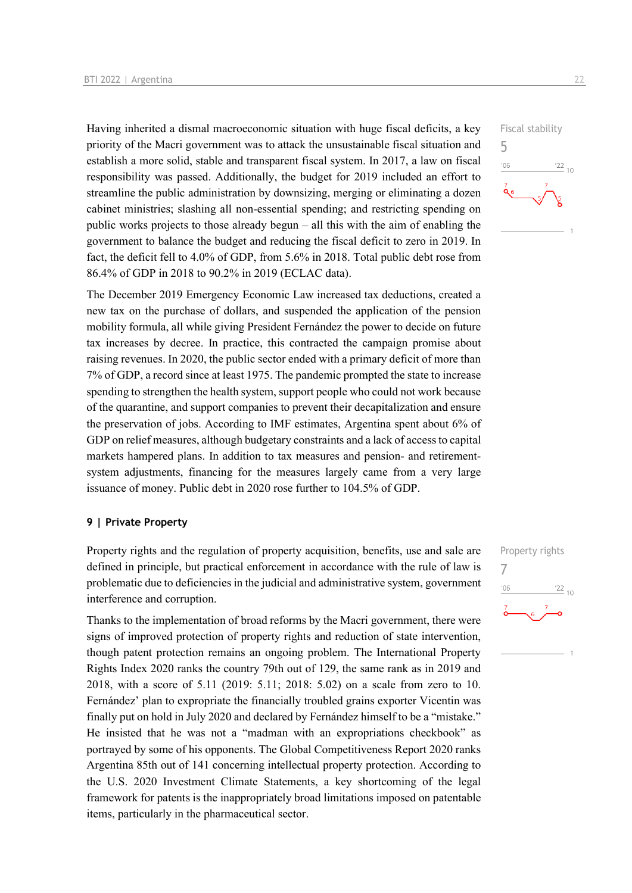Having inherited a dismal macroeconomic situation with huge fiscal deficits, a key priority of the Macri government was to attack the unsustainable fiscal situation and establish a more solid, stable and transparent fiscal system. In 2017, a law on fiscal responsibility was passed. Additionally, the budget for 2019 included an effort to streamline the public administration by downsizing, merging or eliminating a dozen cabinet ministries; slashing all non-essential spending; and restricting spending on public works projects to those already begun – all this with the aim of enabling the government to balance the budget and reducing the fiscal deficit to zero in 2019. In fact, the deficit fell to 4.0% of GDP, from 5.6% in 2018. Total public debt rose from 86.4% of GDP in 2018 to 90.2% in 2019 (ECLAC data).

The December 2019 Emergency Economic Law increased tax deductions, created a new tax on the purchase of dollars, and suspended the application of the pension mobility formula, all while giving President Fernández the power to decide on future tax increases by decree. In practice, this contracted the campaign promise about raising revenues. In 2020, the public sector ended with a primary deficit of more than 7% of GDP, a record since at least 1975. The pandemic prompted the state to increase spending to strengthen the health system, support people who could not work because of the quarantine, and support companies to prevent their decapitalization and ensure the preservation of jobs. According to IMF estimates, Argentina spent about 6% of GDP on relief measures, although budgetary constraints and a lack of access to capital markets hampered plans. In addition to tax measures and pension- and retirementsystem adjustments, financing for the measures largely came from a very large issuance of money. Public debt in 2020 rose further to 104.5% of GDP.

#### **9 | Private Property**

Property rights and the regulation of property acquisition, benefits, use and sale are defined in principle, but practical enforcement in accordance with the rule of law is problematic due to deficiencies in the judicial and administrative system, government interference and corruption.

Thanks to the implementation of broad reforms by the Macri government, there were signs of improved protection of property rights and reduction of state intervention, though patent protection remains an ongoing problem. The International Property Rights Index 2020 ranks the country 79th out of 129, the same rank as in 2019 and 2018, with a score of 5.11 (2019: 5.11; 2018: 5.02) on a scale from zero to 10. Fernández' plan to expropriate the financially troubled grains exporter Vicentin was finally put on hold in July 2020 and declared by Fernández himself to be a "mistake." He insisted that he was not a "madman with an expropriations checkbook" as portrayed by some of his opponents. The Global Competitiveness Report 2020 ranks Argentina 85th out of 141 concerning intellectual property protection. According to the U.S. 2020 Investment Climate Statements, a key shortcoming of the legal framework for patents is the inappropriately broad limitations imposed on patentable items, particularly in the pharmaceutical sector.



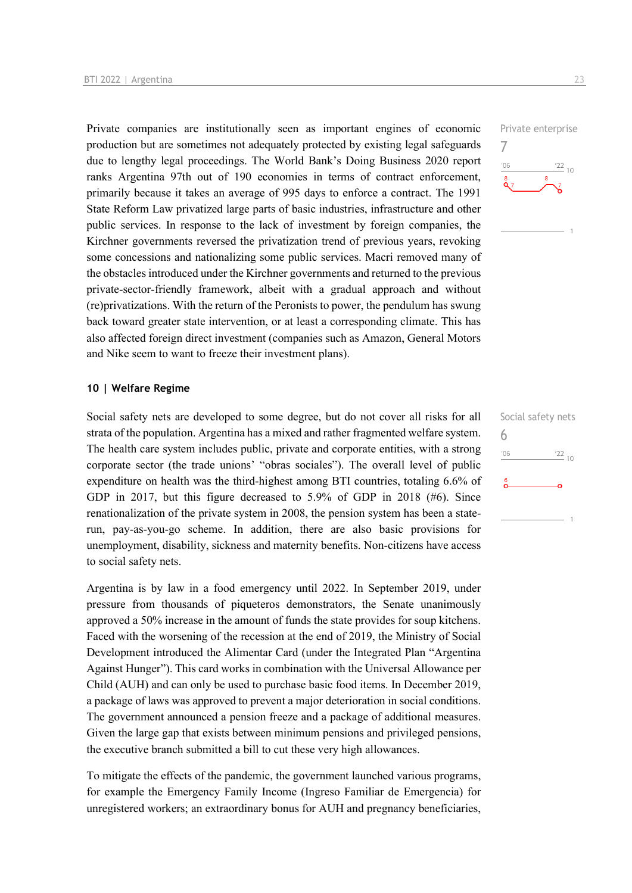Private companies are institutionally seen as important engines of economic production but are sometimes not adequately protected by existing legal safeguards due to lengthy legal proceedings. The World Bank's Doing Business 2020 report ranks Argentina 97th out of 190 economies in terms of contract enforcement, primarily because it takes an average of 995 days to enforce a contract. The 1991 State Reform Law privatized large parts of basic industries, infrastructure and other public services. In response to the lack of investment by foreign companies, the Kirchner governments reversed the privatization trend of previous years, revoking some concessions and nationalizing some public services. Macri removed many of the obstacles introduced under the Kirchner governments and returned to the previous private-sector-friendly framework, albeit with a gradual approach and without (re)privatizations. With the return of the Peronists to power, the pendulum has swung back toward greater state intervention, or at least a corresponding climate. This has also affected foreign direct investment (companies such as Amazon, General Motors and Nike seem to want to freeze their investment plans).

#### **10 | Welfare Regime**

Social safety nets are developed to some degree, but do not cover all risks for all strata of the population. Argentina has a mixed and rather fragmented welfare system. The health care system includes public, private and corporate entities, with a strong corporate sector (the trade unions' "obras sociales"). The overall level of public expenditure on health was the third-highest among BTI countries, totaling 6.6% of GDP in 2017, but this figure decreased to 5.9% of GDP in 2018 (#6). Since renationalization of the private system in 2008, the pension system has been a staterun, pay-as-you-go scheme. In addition, there are also basic provisions for unemployment, disability, sickness and maternity benefits. Non-citizens have access to social safety nets.

Argentina is by law in a food emergency until 2022. In September 2019, under pressure from thousands of piqueteros demonstrators, the Senate unanimously approved a 50% increase in the amount of funds the state provides for soup kitchens. Faced with the worsening of the recession at the end of 2019, the Ministry of Social Development introduced the Alimentar Card (under the Integrated Plan "Argentina Against Hunger"). This card works in combination with the Universal Allowance per Child (AUH) and can only be used to purchase basic food items. In December 2019, a package of laws was approved to prevent a major deterioration in social conditions. The government announced a pension freeze and a package of additional measures. Given the large gap that exists between minimum pensions and privileged pensions, the executive branch submitted a bill to cut these very high allowances.

To mitigate the effects of the pandemic, the government launched various programs, for example the Emergency Family Income (Ingreso Familiar de Emergencia) for unregistered workers; an extraordinary bonus for AUH and pregnancy beneficiaries, Private enterprise  $\frac{22}{10}$  $106$ 

7

Social safety nets 6 $06'$  $\frac{22}{10}$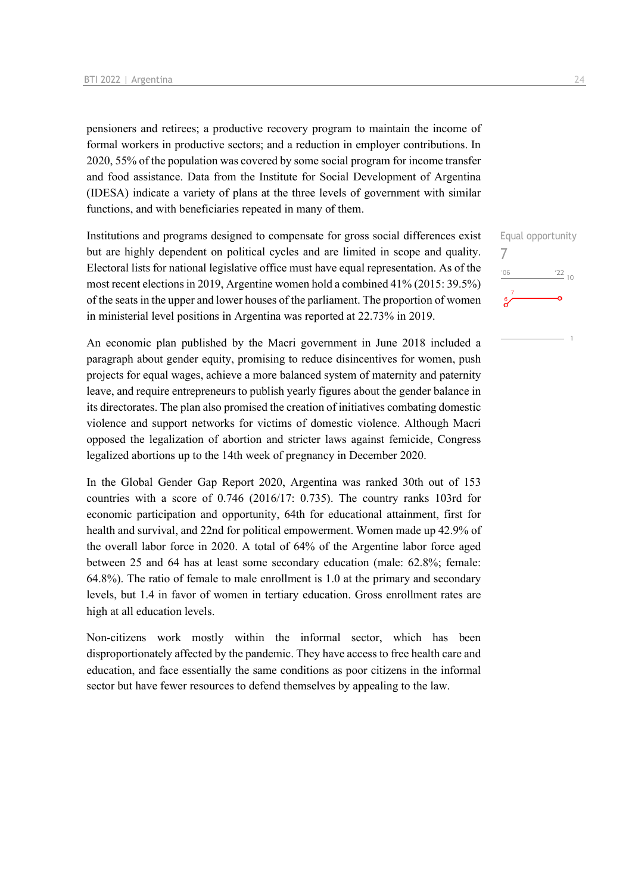pensioners and retirees; a productive recovery program to maintain the income of formal workers in productive sectors; and a reduction in employer contributions. In 2020, 55% of the population was covered by some social program for income transfer and food assistance. Data from the Institute for Social Development of Argentina (IDESA) indicate a variety of plans at the three levels of government with similar functions, and with beneficiaries repeated in many of them.

Institutions and programs designed to compensate for gross social differences exist but are highly dependent on political cycles and are limited in scope and quality. Electoral lists for national legislative office must have equal representation. As of the most recent elections in 2019, Argentine women hold a combined 41% (2015: 39.5%) of the seats in the upper and lower houses of the parliament. The proportion of women in ministerial level positions in Argentina was reported at 22.73% in 2019.

An economic plan published by the Macri government in June 2018 included a paragraph about gender equity, promising to reduce disincentives for women, push projects for equal wages, achieve a more balanced system of maternity and paternity leave, and require entrepreneurs to publish yearly figures about the gender balance in its directorates. The plan also promised the creation of initiatives combating domestic violence and support networks for victims of domestic violence. Although Macri opposed the legalization of abortion and stricter laws against femicide, Congress legalized abortions up to the 14th week of pregnancy in December 2020.

In the Global Gender Gap Report 2020, Argentina was ranked 30th out of 153 countries with a score of 0.746 (2016/17: 0.735). The country ranks 103rd for economic participation and opportunity, 64th for educational attainment, first for health and survival, and 22nd for political empowerment. Women made up 42.9% of the overall labor force in 2020. A total of 64% of the Argentine labor force aged between 25 and 64 has at least some secondary education (male: 62.8%; female: 64.8%). The ratio of female to male enrollment is 1.0 at the primary and secondary levels, but 1.4 in favor of women in tertiary education. Gross enrollment rates are high at all education levels.

Non-citizens work mostly within the informal sector, which has been disproportionately affected by the pandemic. They have access to free health care and education, and face essentially the same conditions as poor citizens in the informal sector but have fewer resources to defend themselves by appealing to the law.

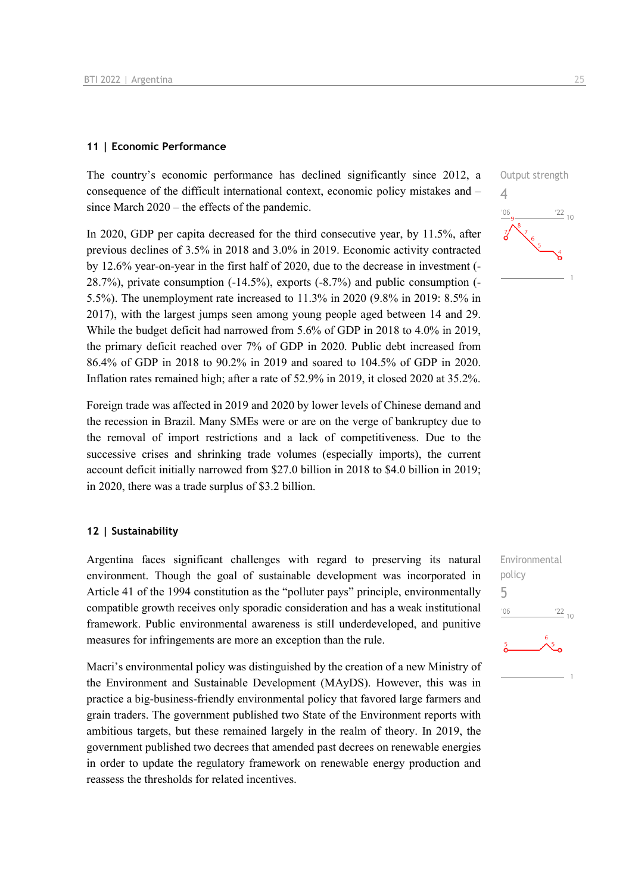#### **11 | Economic Performance**

The country's economic performance has declined significantly since 2012, a consequence of the difficult international context, economic policy mistakes and – since March 2020 – the effects of the pandemic.

In 2020, GDP per capita decreased for the third consecutive year, by 11.5%, after previous declines of 3.5% in 2018 and 3.0% in 2019. Economic activity contracted by 12.6% year-on-year in the first half of 2020, due to the decrease in investment (- 28.7%), private consumption (-14.5%), exports (-8.7%) and public consumption (- 5.5%). The unemployment rate increased to 11.3% in 2020 (9.8% in 2019: 8.5% in 2017), with the largest jumps seen among young people aged between 14 and 29. While the budget deficit had narrowed from 5.6% of GDP in 2018 to 4.0% in 2019, the primary deficit reached over 7% of GDP in 2020. Public debt increased from 86.4% of GDP in 2018 to 90.2% in 2019 and soared to 104.5% of GDP in 2020. Inflation rates remained high; after a rate of 52.9% in 2019, it closed 2020 at 35.2%.

Foreign trade was affected in 2019 and 2020 by lower levels of Chinese demand and the recession in Brazil. Many SMEs were or are on the verge of bankruptcy due to the removal of import restrictions and a lack of competitiveness. Due to the successive crises and shrinking trade volumes (especially imports), the current account deficit initially narrowed from \$27.0 billion in 2018 to \$4.0 billion in 2019; in 2020, there was a trade surplus of \$3.2 billion.

#### **12 | Sustainability**

Argentina faces significant challenges with regard to preserving its natural environment. Though the goal of sustainable development was incorporated in Article 41 of the 1994 constitution as the "polluter pays" principle, environmentally compatible growth receives only sporadic consideration and has a weak institutional framework. Public environmental awareness is still underdeveloped, and punitive measures for infringements are more an exception than the rule.

Macri's environmental policy was distinguished by the creation of a new Ministry of the Environment and Sustainable Development (MAyDS). However, this was in practice a big-business-friendly environmental policy that favored large farmers and grain traders. The government published two State of the Environment reports with ambitious targets, but these remained largely in the realm of theory. In 2019, the government published two decrees that amended past decrees on renewable energies in order to update the regulatory framework on renewable energy production and reassess the thresholds for related incentives.



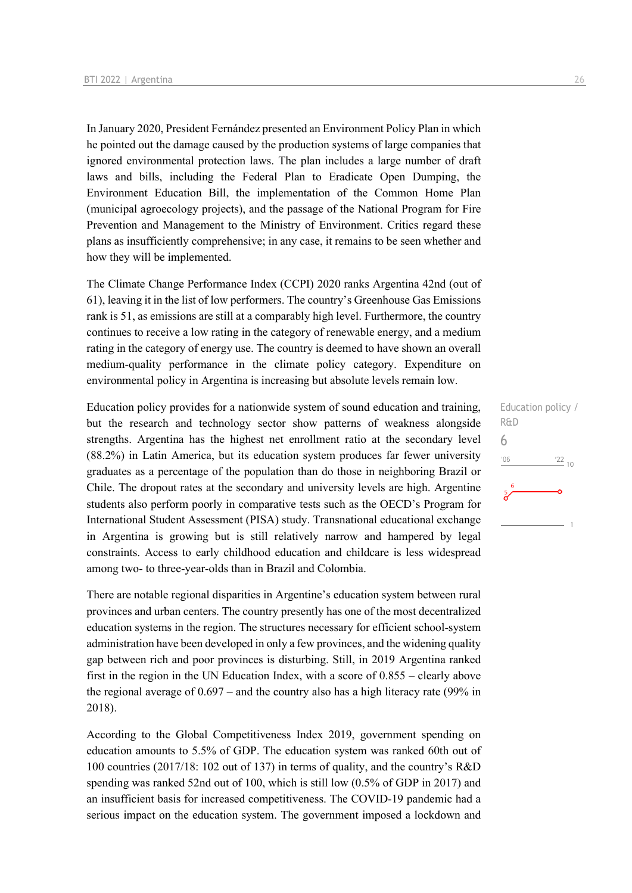In January 2020, President Fernández presented an Environment Policy Plan in which he pointed out the damage caused by the production systems of large companies that ignored environmental protection laws. The plan includes a large number of draft laws and bills, including the Federal Plan to Eradicate Open Dumping, the Environment Education Bill, the implementation of the Common Home Plan (municipal agroecology projects), and the passage of the National Program for Fire Prevention and Management to the Ministry of Environment. Critics regard these plans as insufficiently comprehensive; in any case, it remains to be seen whether and how they will be implemented.

The Climate Change Performance Index (CCPI) 2020 ranks Argentina 42nd (out of 61), leaving it in the list of low performers. The country's Greenhouse Gas Emissions rank is 51, as emissions are still at a comparably high level. Furthermore, the country continues to receive a low rating in the category of renewable energy, and a medium rating in the category of energy use. The country is deemed to have shown an overall medium-quality performance in the climate policy category. Expenditure on environmental policy in Argentina is increasing but absolute levels remain low.

Education policy provides for a nationwide system of sound education and training, but the research and technology sector show patterns of weakness alongside strengths. Argentina has the highest net enrollment ratio at the secondary level (88.2%) in Latin America, but its education system produces far fewer university graduates as a percentage of the population than do those in neighboring Brazil or Chile. The dropout rates at the secondary and university levels are high. Argentine students also perform poorly in comparative tests such as the OECD's Program for International Student Assessment (PISA) study. Transnational educational exchange in Argentina is growing but is still relatively narrow and hampered by legal constraints. Access to early childhood education and childcare is less widespread among two- to three-year-olds than in Brazil and Colombia.

There are notable regional disparities in Argentine's education system between rural provinces and urban centers. The country presently has one of the most decentralized education systems in the region. The structures necessary for efficient school-system administration have been developed in only a few provinces, and the widening quality gap between rich and poor provinces is disturbing. Still, in 2019 Argentina ranked first in the region in the UN Education Index, with a score of 0.855 – clearly above the regional average of 0.697 – and the country also has a high literacy rate (99% in 2018).

According to the Global Competitiveness Index 2019, government spending on education amounts to 5.5% of GDP. The education system was ranked 60th out of 100 countries (2017/18: 102 out of 137) in terms of quality, and the country's R&D spending was ranked 52nd out of 100, which is still low (0.5% of GDP in 2017) and an insufficient basis for increased competitiveness. The COVID-19 pandemic had a serious impact on the education system. The government imposed a lockdown and

Education policy /

 $\frac{22}{10}$ 

R&D 6

 $'06$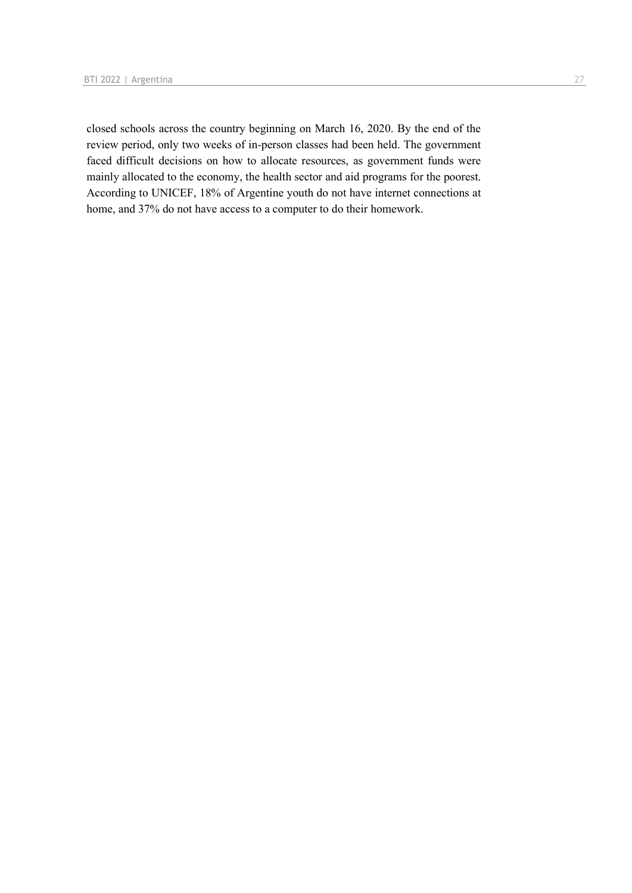closed schools across the country beginning on March 16, 2020. By the end of the review period, only two weeks of in-person classes had been held. The government faced difficult decisions on how to allocate resources, as government funds were mainly allocated to the economy, the health sector and aid programs for the poorest. According to UNICEF, 18% of Argentine youth do not have internet connections at home, and 37% do not have access to a computer to do their homework.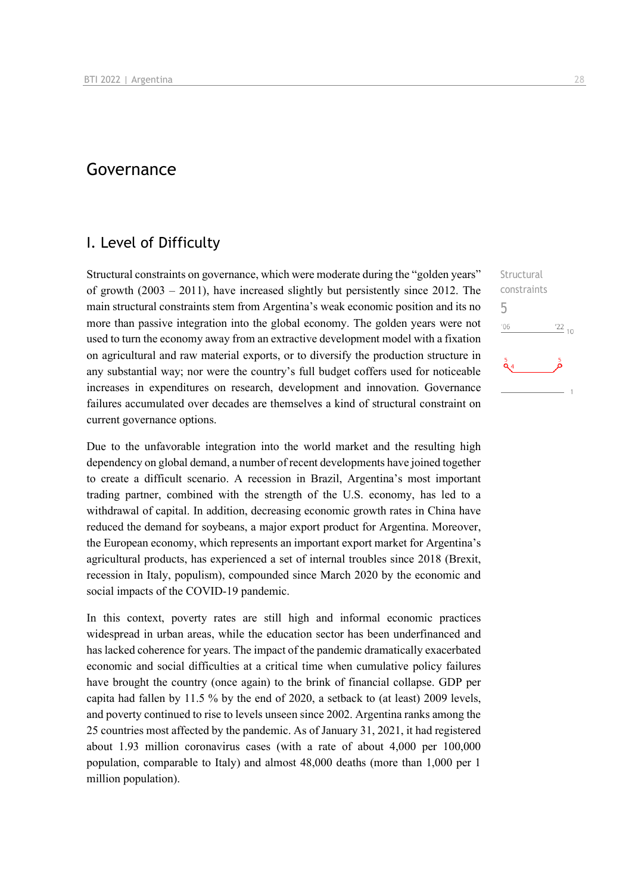## Governance

## I. Level of Difficulty

Structural constraints on governance, which were moderate during the "golden years" of growth (2003 – 2011), have increased slightly but persistently since 2012. The main structural constraints stem from Argentina's weak economic position and its no more than passive integration into the global economy. The golden years were not used to turn the economy away from an extractive development model with a fixation on agricultural and raw material exports, or to diversify the production structure in any substantial way; nor were the country's full budget coffers used for noticeable increases in expenditures on research, development and innovation. Governance failures accumulated over decades are themselves a kind of structural constraint on current governance options.

Due to the unfavorable integration into the world market and the resulting high dependency on global demand, a number of recent developments have joined together to create a difficult scenario. A recession in Brazil, Argentina's most important trading partner, combined with the strength of the U.S. economy, has led to a withdrawal of capital. In addition, decreasing economic growth rates in China have reduced the demand for soybeans, a major export product for Argentina. Moreover, the European economy, which represents an important export market for Argentina's agricultural products, has experienced a set of internal troubles since 2018 (Brexit, recession in Italy, populism), compounded since March 2020 by the economic and social impacts of the COVID-19 pandemic.

In this context, poverty rates are still high and informal economic practices widespread in urban areas, while the education sector has been underfinanced and has lacked coherence for years. The impact of the pandemic dramatically exacerbated economic and social difficulties at a critical time when cumulative policy failures have brought the country (once again) to the brink of financial collapse. GDP per capita had fallen by 11.5 % by the end of 2020, a setback to (at least) 2009 levels, and poverty continued to rise to levels unseen since 2002. Argentina ranks among the 25 countries most affected by the pandemic. As of January 31, 2021, it had registered about 1.93 million coronavirus cases (with a rate of about 4,000 per 100,000 population, comparable to Italy) and almost 48,000 deaths (more than 1,000 per 1 million population).

**Structural** constraints 5 $n<sub>6</sub>$  $\frac{22}{10}$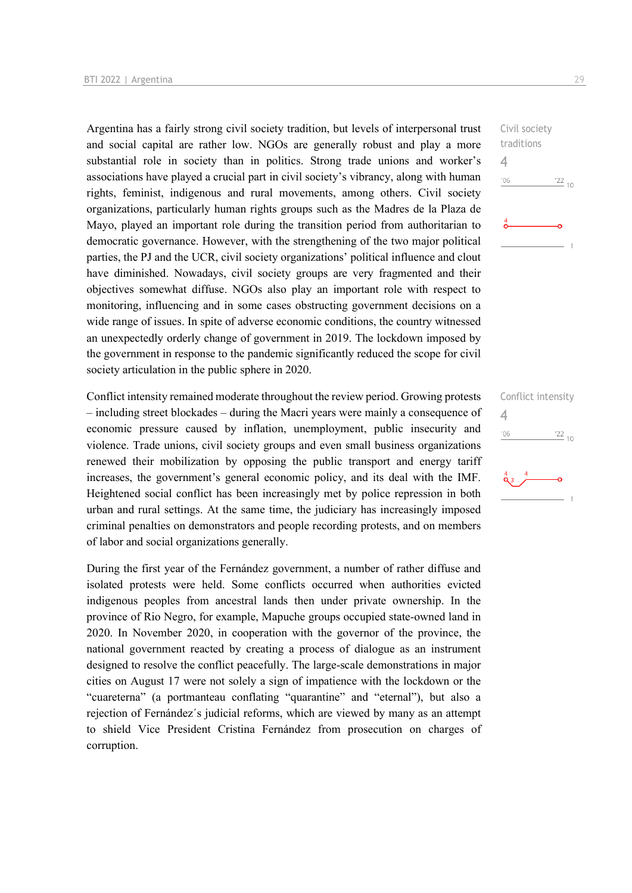Argentina has a fairly strong civil society tradition, but levels of interpersonal trust and social capital are rather low. NGOs are generally robust and play a more substantial role in society than in politics. Strong trade unions and worker's associations have played a crucial part in civil society's vibrancy, along with human rights, feminist, indigenous and rural movements, among others. Civil society organizations, particularly human rights groups such as the Madres de la Plaza de Mayo, played an important role during the transition period from authoritarian to democratic governance. However, with the strengthening of the two major political parties, the PJ and the UCR, civil society organizations' political influence and clout have diminished. Nowadays, civil society groups are very fragmented and their objectives somewhat diffuse. NGOs also play an important role with respect to monitoring, influencing and in some cases obstructing government decisions on a wide range of issues. In spite of adverse economic conditions, the country witnessed an unexpectedly orderly change of government in 2019. The lockdown imposed by the government in response to the pandemic significantly reduced the scope for civil society articulation in the public sphere in 2020.

Conflict intensity remained moderate throughout the review period. Growing protests – including street blockades – during the Macri years were mainly a consequence of economic pressure caused by inflation, unemployment, public insecurity and violence. Trade unions, civil society groups and even small business organizations renewed their mobilization by opposing the public transport and energy tariff increases, the government's general economic policy, and its deal with the IMF. Heightened social conflict has been increasingly met by police repression in both urban and rural settings. At the same time, the judiciary has increasingly imposed criminal penalties on demonstrators and people recording protests, and on members of labor and social organizations generally.

During the first year of the Fernández government, a number of rather diffuse and isolated protests were held. Some conflicts occurred when authorities evicted indigenous peoples from ancestral lands then under private ownership. In the province of Rio Negro, for example, Mapuche groups occupied state-owned land in 2020. In November 2020, in cooperation with the governor of the province, the national government reacted by creating a process of dialogue as an instrument designed to resolve the conflict peacefully. The large-scale demonstrations in major cities on August 17 were not solely a sign of impatience with the lockdown or the "cuareterna" (a portmanteau conflating "quarantine" and "eternal"), but also a rejection of Fernández´s judicial reforms, which are viewed by many as an attempt to shield Vice President Cristina Fernández from prosecution on charges of corruption.

Civil society traditions 4  $^{\prime}06$  $\frac{22}{10}$ 

Conflict intensity 4 $\frac{22}{10}$  $^{\prime}06$ 

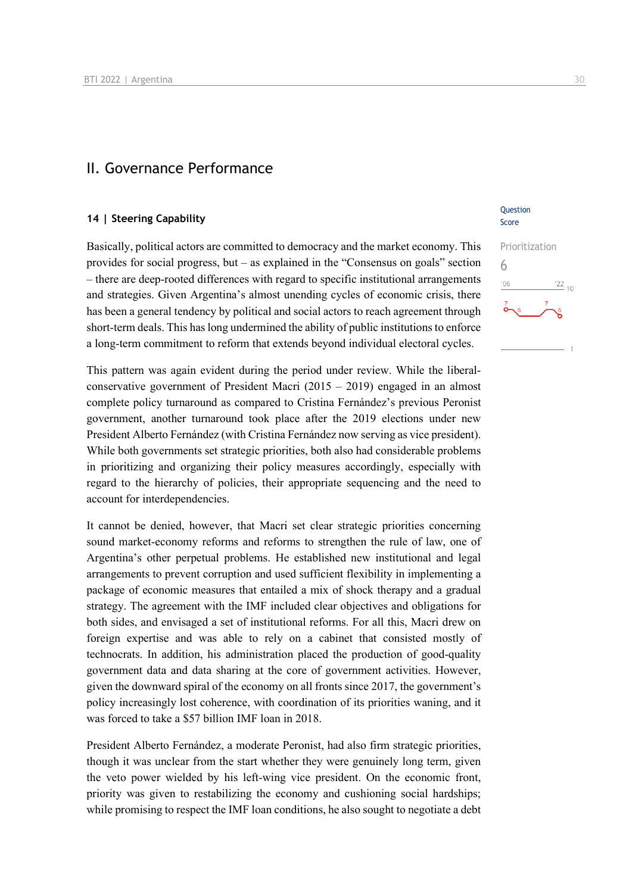### II. Governance Performance

#### **14 | Steering Capability**

Basically, political actors are committed to democracy and the market economy. This provides for social progress, but – as explained in the "Consensus on goals" section – there are deep-rooted differences with regard to specific institutional arrangements and strategies. Given Argentina's almost unending cycles of economic crisis, there has been a general tendency by political and social actors to reach agreement through short-term deals. This has long undermined the ability of public institutions to enforce a long-term commitment to reform that extends beyond individual electoral cycles.

This pattern was again evident during the period under review. While the liberalconservative government of President Macri (2015 – 2019) engaged in an almost complete policy turnaround as compared to Cristina Fernández's previous Peronist government, another turnaround took place after the 2019 elections under new President Alberto Fernández (with Cristina Fernández now serving as vice president). While both governments set strategic priorities, both also had considerable problems in prioritizing and organizing their policy measures accordingly, especially with regard to the hierarchy of policies, their appropriate sequencing and the need to account for interdependencies.

It cannot be denied, however, that Macri set clear strategic priorities concerning sound market-economy reforms and reforms to strengthen the rule of law, one of Argentina's other perpetual problems. He established new institutional and legal arrangements to prevent corruption and used sufficient flexibility in implementing a package of economic measures that entailed a mix of shock therapy and a gradual strategy. The agreement with the IMF included clear objectives and obligations for both sides, and envisaged a set of institutional reforms. For all this, Macri drew on foreign expertise and was able to rely on a cabinet that consisted mostly of technocrats. In addition, his administration placed the production of good-quality government data and data sharing at the core of government activities. However, given the downward spiral of the economy on all fronts since 2017, the government's policy increasingly lost coherence, with coordination of its priorities waning, and it was forced to take a \$57 billion IMF loan in 2018.

President Alberto Fernández, a moderate Peronist, had also firm strategic priorities, though it was unclear from the start whether they were genuinely long term, given the veto power wielded by his left-wing vice president. On the economic front, priority was given to restabilizing the economy and cushioning social hardships; while promising to respect the IMF loan conditions, he also sought to negotiate a debt

## **Ouestion**

Score

6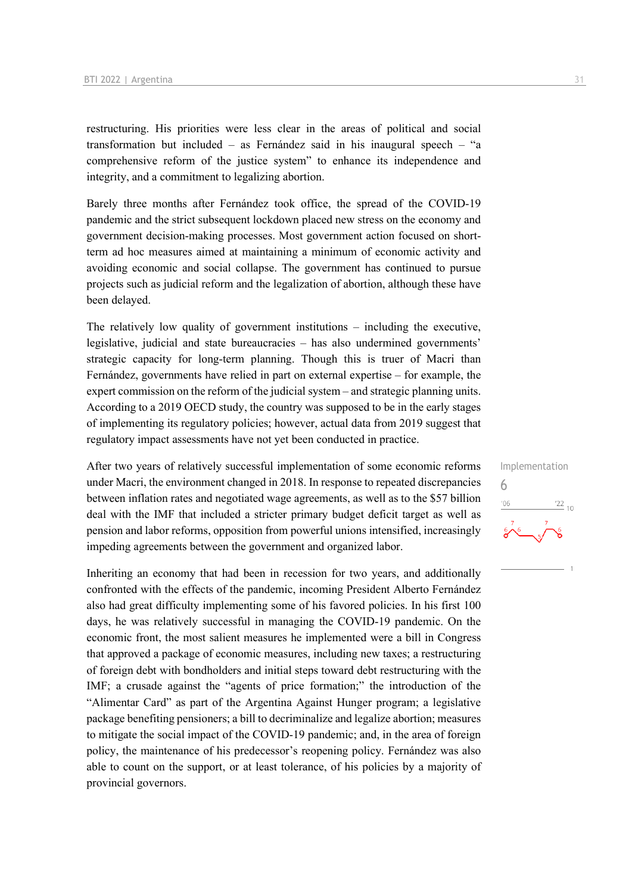restructuring. His priorities were less clear in the areas of political and social transformation but included – as Fernández said in his inaugural speech – "a comprehensive reform of the justice system" to enhance its independence and integrity, and a commitment to legalizing abortion.

Barely three months after Fernández took office, the spread of the COVID-19 pandemic and the strict subsequent lockdown placed new stress on the economy and government decision-making processes. Most government action focused on shortterm ad hoc measures aimed at maintaining a minimum of economic activity and avoiding economic and social collapse. The government has continued to pursue projects such as judicial reform and the legalization of abortion, although these have been delayed.

The relatively low quality of government institutions – including the executive, legislative, judicial and state bureaucracies – has also undermined governments' strategic capacity for long-term planning. Though this is truer of Macri than Fernández, governments have relied in part on external expertise – for example, the expert commission on the reform of the judicial system – and strategic planning units. According to a 2019 OECD study, the country was supposed to be in the early stages of implementing its regulatory policies; however, actual data from 2019 suggest that regulatory impact assessments have not yet been conducted in practice.

After two years of relatively successful implementation of some economic reforms under Macri, the environment changed in 2018. In response to repeated discrepancies between inflation rates and negotiated wage agreements, as well as to the \$57 billion deal with the IMF that included a stricter primary budget deficit target as well as pension and labor reforms, opposition from powerful unions intensified, increasingly impeding agreements between the government and organized labor.

Inheriting an economy that had been in recession for two years, and additionally confronted with the effects of the pandemic, incoming President Alberto Fernández also had great difficulty implementing some of his favored policies. In his first 100 days, he was relatively successful in managing the COVID-19 pandemic. On the economic front, the most salient measures he implemented were a bill in Congress that approved a package of economic measures, including new taxes; a restructuring of foreign debt with bondholders and initial steps toward debt restructuring with the IMF; a crusade against the "agents of price formation;" the introduction of the "Alimentar Card" as part of the Argentina Against Hunger program; a legislative package benefiting pensioners; a bill to decriminalize and legalize abortion; measures to mitigate the social impact of the COVID-19 pandemic; and, in the area of foreign policy, the maintenance of his predecessor's reopening policy. Fernández was also able to count on the support, or at least tolerance, of his policies by a majority of provincial governors.

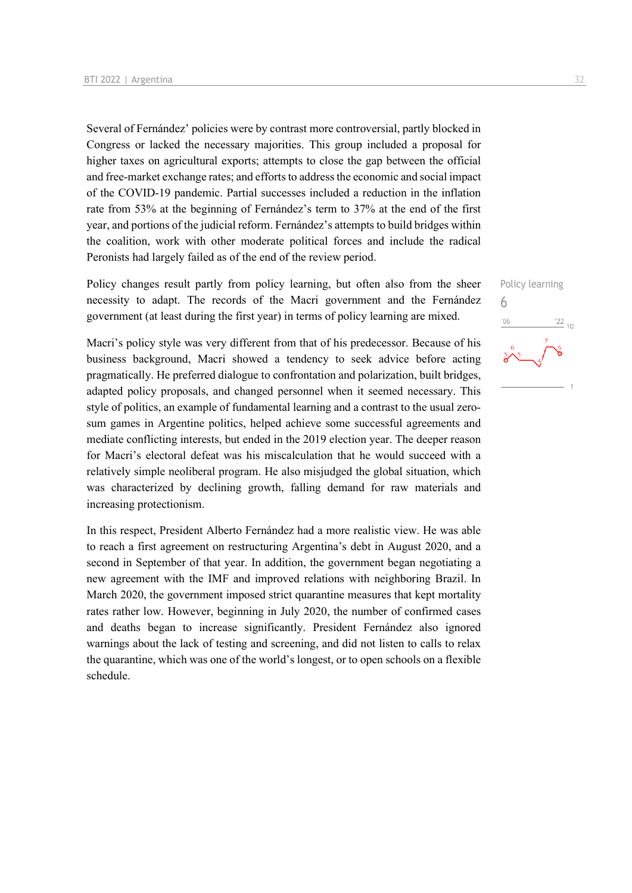Several of Fernández' policies were by contrast more controversial, partly blocked in Congress or lacked the necessary majorities. This group included a proposal for higher taxes on agricultural exports; attempts to close the gap between the official and free-market exchange rates; and efforts to address the economic and social impact of the COVID-19 pandemic. Partial successes included a reduction in the inflation rate from 53% at the beginning of Fernández's term to 37% at the end of the first year, and portions of the judicial reform. Fernández's attempts to build bridges within the coalition, work with other moderate political forces and include the radical Peronists had largely failed as of the end of the review period.

Policy changes result partly from policy learning, but often also from the sheer necessity to adapt. The records of the Macri government and the Fernández government (at least during the first year) in terms of policy learning are mixed.

Macri's policy style was very different from that of his predecessor. Because of his business background, Macri showed a tendency to seek advice before acting pragmatically. He preferred dialogue to confrontation and polarization, built bridges, adapted policy proposals, and changed personnel when it seemed necessary. This style of politics, an example of fundamental learning and a contrast to the usual zerosum games in Argentine politics, helped achieve some successful agreements and mediate conflicting interests, but ended in the 2019 election year. The deeper reason for Macri's electoral defeat was his miscalculation that he would succeed with a relatively simple neoliberal program. He also misjudged the global situation, which was characterized by declining growth, falling demand for raw materials and increasing protectionism.

In this respect, President Alberto Fernández had a more realistic view. He was able to reach a first agreement on restructuring Argentina's debt in August 2020, and a second in September of that year. In addition, the government began negotiating a new agreement with the IMF and improved relations with neighboring Brazil. In March 2020, the government imposed strict quarantine measures that kept mortality rates rather low. However, beginning in July 2020, the number of confirmed cases and deaths began to increase significantly. President Fernández also ignored warnings about the lack of testing and screening, and did not listen to calls to relax the quarantine, which was one of the world's longest, or to open schools on a flexible schedule.

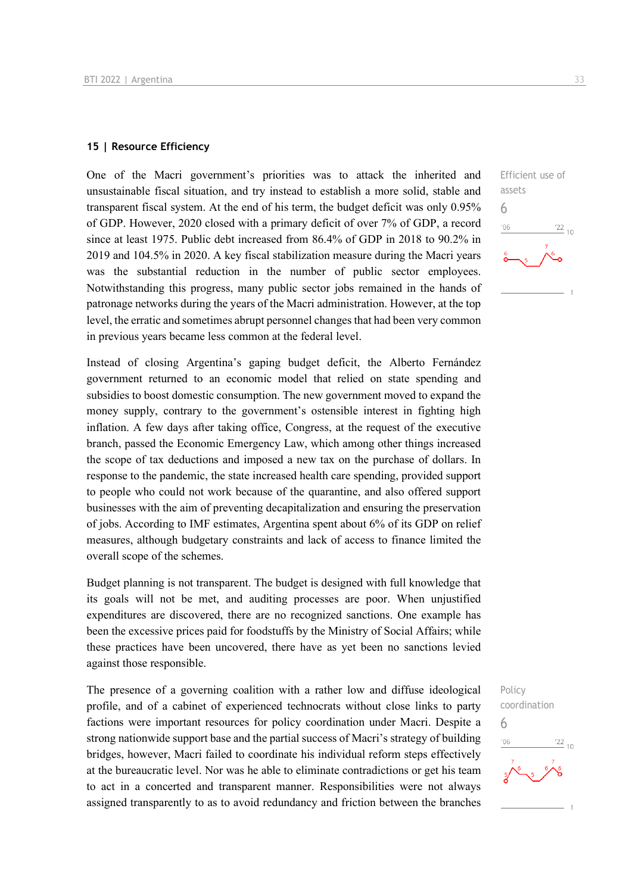#### **15 | Resource Efficiency**

One of the Macri government's priorities was to attack the inherited and unsustainable fiscal situation, and try instead to establish a more solid, stable and transparent fiscal system. At the end of his term, the budget deficit was only 0.95% of GDP. However, 2020 closed with a primary deficit of over 7% of GDP, a record since at least 1975. Public debt increased from 86.4% of GDP in 2018 to 90.2% in 2019 and 104.5% in 2020. A key fiscal stabilization measure during the Macri years was the substantial reduction in the number of public sector employees. Notwithstanding this progress, many public sector jobs remained in the hands of patronage networks during the years of the Macri administration. However, at the top level, the erratic and sometimes abrupt personnel changes that had been very common in previous years became less common at the federal level.

Instead of closing Argentina's gaping budget deficit, the Alberto Fernández government returned to an economic model that relied on state spending and subsidies to boost domestic consumption. The new government moved to expand the money supply, contrary to the government's ostensible interest in fighting high inflation. A few days after taking office, Congress, at the request of the executive branch, passed the Economic Emergency Law, which among other things increased the scope of tax deductions and imposed a new tax on the purchase of dollars. In response to the pandemic, the state increased health care spending, provided support to people who could not work because of the quarantine, and also offered support businesses with the aim of preventing decapitalization and ensuring the preservation of jobs. According to IMF estimates, Argentina spent about 6% of its GDP on relief measures, although budgetary constraints and lack of access to finance limited the overall scope of the schemes.

Budget planning is not transparent. The budget is designed with full knowledge that its goals will not be met, and auditing processes are poor. When unjustified expenditures are discovered, there are no recognized sanctions. One example has been the excessive prices paid for foodstuffs by the Ministry of Social Affairs; while these practices have been uncovered, there have as yet been no sanctions levied against those responsible.

The presence of a governing coalition with a rather low and diffuse ideological profile, and of a cabinet of experienced technocrats without close links to party factions were important resources for policy coordination under Macri. Despite a strong nationwide support base and the partial success of Macri's strategy of building bridges, however, Macri failed to coordinate his individual reform steps effectively at the bureaucratic level. Nor was he able to eliminate contradictions or get his team to act in a concerted and transparent manner. Responsibilities were not always assigned transparently to as to avoid redundancy and friction between the branches



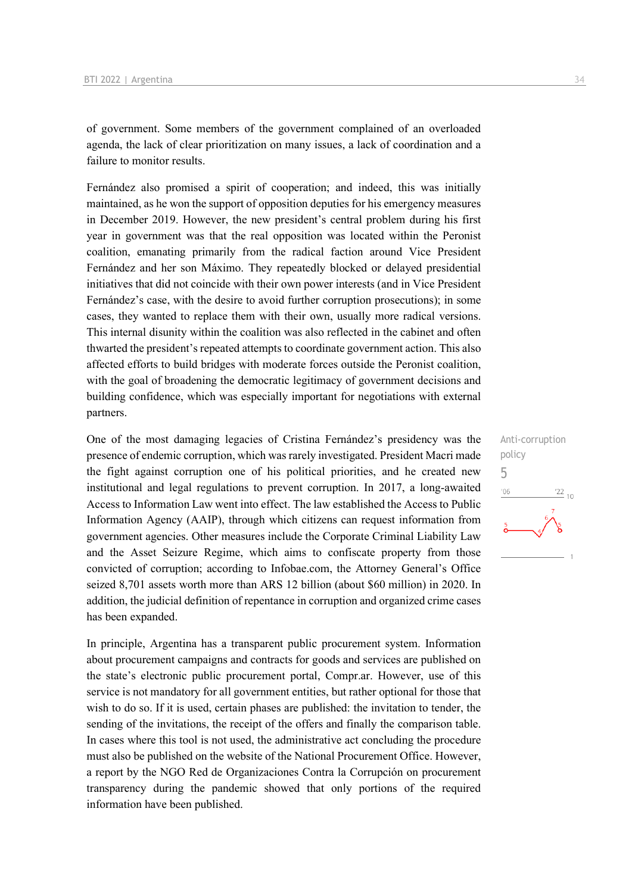of government. Some members of the government complained of an overloaded agenda, the lack of clear prioritization on many issues, a lack of coordination and a failure to monitor results.

Fernández also promised a spirit of cooperation; and indeed, this was initially maintained, as he won the support of opposition deputies for his emergency measures in December 2019. However, the new president's central problem during his first year in government was that the real opposition was located within the Peronist coalition, emanating primarily from the radical faction around Vice President Fernández and her son Máximo. They repeatedly blocked or delayed presidential initiatives that did not coincide with their own power interests (and in Vice President Fernández's case, with the desire to avoid further corruption prosecutions); in some cases, they wanted to replace them with their own, usually more radical versions. This internal disunity within the coalition was also reflected in the cabinet and often thwarted the president's repeated attempts to coordinate government action. This also affected efforts to build bridges with moderate forces outside the Peronist coalition, with the goal of broadening the democratic legitimacy of government decisions and building confidence, which was especially important for negotiations with external partners.

One of the most damaging legacies of Cristina Fernández's presidency was the presence of endemic corruption, which was rarely investigated. President Macri made the fight against corruption one of his political priorities, and he created new institutional and legal regulations to prevent corruption. In 2017, a long-awaited Access to Information Law went into effect. The law established the Access to Public Information Agency (AAIP), through which citizens can request information from government agencies. Other measures include the Corporate Criminal Liability Law and the Asset Seizure Regime, which aims to confiscate property from those convicted of corruption; according to Infobae.com, the Attorney General's Office seized 8,701 assets worth more than ARS 12 billion (about \$60 million) in 2020. In addition, the judicial definition of repentance in corruption and organized crime cases has been expanded.

In principle, Argentina has a transparent public procurement system. Information about procurement campaigns and contracts for goods and services are published on the state's electronic public procurement portal, Compr.ar. However, use of this service is not mandatory for all government entities, but rather optional for those that wish to do so. If it is used, certain phases are published: the invitation to tender, the sending of the invitations, the receipt of the offers and finally the comparison table. In cases where this tool is not used, the administrative act concluding the procedure must also be published on the website of the National Procurement Office. However, a report by the NGO Red de Organizaciones Contra la Corrupción on procurement transparency during the pandemic showed that only portions of the required information have been published.

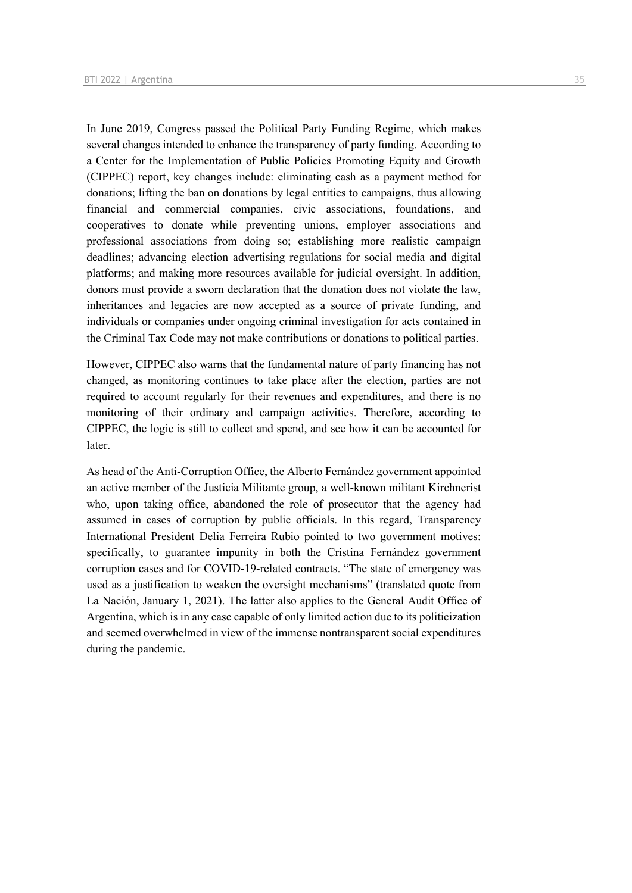In June 2019, Congress passed the Political Party Funding Regime, which makes several changes intended to enhance the transparency of party funding. According to a Center for the Implementation of Public Policies Promoting Equity and Growth (CIPPEC) report, key changes include: eliminating cash as a payment method for donations; lifting the ban on donations by legal entities to campaigns, thus allowing financial and commercial companies, civic associations, foundations, and cooperatives to donate while preventing unions, employer associations and professional associations from doing so; establishing more realistic campaign deadlines; advancing election advertising regulations for social media and digital platforms; and making more resources available for judicial oversight. In addition, donors must provide a sworn declaration that the donation does not violate the law, inheritances and legacies are now accepted as a source of private funding, and individuals or companies under ongoing criminal investigation for acts contained in the Criminal Tax Code may not make contributions or donations to political parties.

However, CIPPEC also warns that the fundamental nature of party financing has not changed, as monitoring continues to take place after the election, parties are not required to account regularly for their revenues and expenditures, and there is no monitoring of their ordinary and campaign activities. Therefore, according to CIPPEC, the logic is still to collect and spend, and see how it can be accounted for later.

As head of the Anti-Corruption Office, the Alberto Fernández government appointed an active member of the Justicia Militante group, a well-known militant Kirchnerist who, upon taking office, abandoned the role of prosecutor that the agency had assumed in cases of corruption by public officials. In this regard, Transparency International President Delia Ferreira Rubio pointed to two government motives: specifically, to guarantee impunity in both the Cristina Fernández government corruption cases and for COVID-19-related contracts. "The state of emergency was used as a justification to weaken the oversight mechanisms" (translated quote from La Nación, January 1, 2021). The latter also applies to the General Audit Office of Argentina, which is in any case capable of only limited action due to its politicization and seemed overwhelmed in view of the immense nontransparent social expenditures during the pandemic.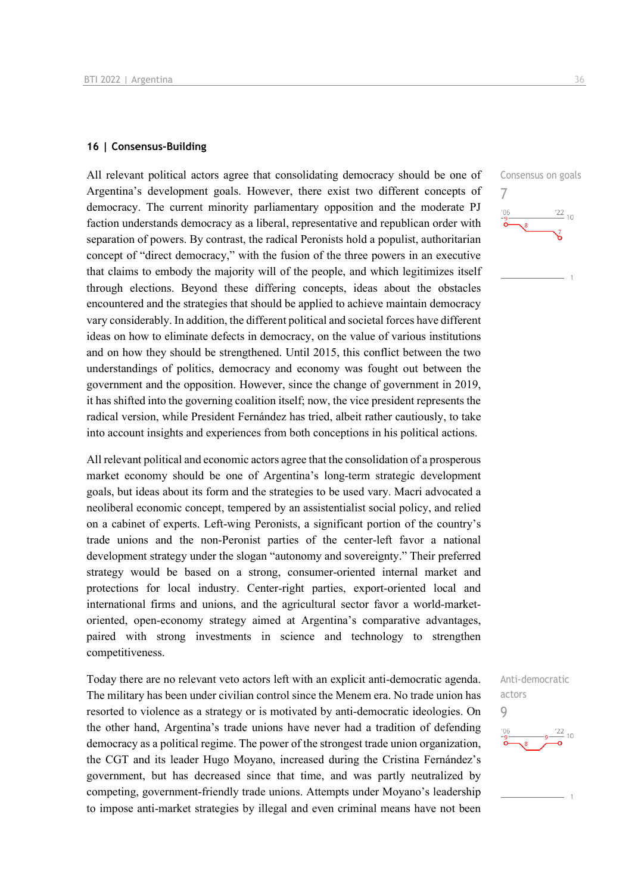#### **16 | Consensus-Building**

All relevant political actors agree that consolidating democracy should be one of Argentina's development goals. However, there exist two different concepts of democracy. The current minority parliamentary opposition and the moderate PJ faction understands democracy as a liberal, representative and republican order with separation of powers. By contrast, the radical Peronists hold a populist, authoritarian concept of "direct democracy," with the fusion of the three powers in an executive that claims to embody the majority will of the people, and which legitimizes itself through elections. Beyond these differing concepts, ideas about the obstacles encountered and the strategies that should be applied to achieve maintain democracy vary considerably. In addition, the different political and societal forces have different ideas on how to eliminate defects in democracy, on the value of various institutions and on how they should be strengthened. Until 2015, this conflict between the two understandings of politics, democracy and economy was fought out between the government and the opposition. However, since the change of government in 2019, it has shifted into the governing coalition itself; now, the vice president represents the radical version, while President Fernández has tried, albeit rather cautiously, to take into account insights and experiences from both conceptions in his political actions.

All relevant political and economic actors agree that the consolidation of a prosperous market economy should be one of Argentina's long-term strategic development goals, but ideas about its form and the strategies to be used vary. Macri advocated a neoliberal economic concept, tempered by an assistentialist social policy, and relied on a cabinet of experts. Left-wing Peronists, a significant portion of the country's trade unions and the non-Peronist parties of the center-left favor a national development strategy under the slogan "autonomy and sovereignty." Their preferred strategy would be based on a strong, consumer-oriented internal market and protections for local industry. Center-right parties, export-oriented local and international firms and unions, and the agricultural sector favor a world-marketoriented, open-economy strategy aimed at Argentina's comparative advantages, paired with strong investments in science and technology to strengthen competitiveness.

Today there are no relevant veto actors left with an explicit anti-democratic agenda. The military has been under civilian control since the Menem era. No trade union has resorted to violence as a strategy or is motivated by anti-democratic ideologies. On the other hand, Argentina's trade unions have never had a tradition of defending democracy as a political regime. The power of the strongest trade union organization, the CGT and its leader Hugo Moyano, increased during the Cristina Fernández's government, but has decreased since that time, and was partly neutralized by competing, government-friendly trade unions. Attempts under Moyano's leadership to impose anti-market strategies by illegal and even criminal means have not been



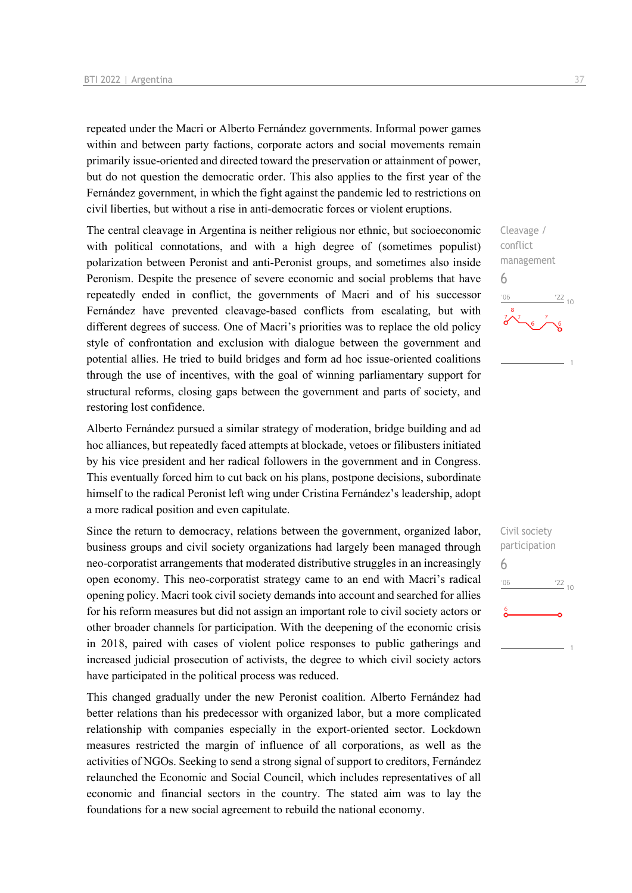repeated under the Macri or Alberto Fernández governments. Informal power games within and between party factions, corporate actors and social movements remain primarily issue-oriented and directed toward the preservation or attainment of power, but do not question the democratic order. This also applies to the first year of the Fernández government, in which the fight against the pandemic led to restrictions on civil liberties, but without a rise in anti-democratic forces or violent eruptions.

The central cleavage in Argentina is neither religious nor ethnic, but socioeconomic with political connotations, and with a high degree of (sometimes populist) polarization between Peronist and anti-Peronist groups, and sometimes also inside Peronism. Despite the presence of severe economic and social problems that have repeatedly ended in conflict, the governments of Macri and of his successor Fernández have prevented cleavage-based conflicts from escalating, but with different degrees of success. One of Macri's priorities was to replace the old policy style of confrontation and exclusion with dialogue between the government and potential allies. He tried to build bridges and form ad hoc issue-oriented coalitions through the use of incentives, with the goal of winning parliamentary support for structural reforms, closing gaps between the government and parts of society, and restoring lost confidence.

Alberto Fernández pursued a similar strategy of moderation, bridge building and ad hoc alliances, but repeatedly faced attempts at blockade, vetoes or filibusters initiated by his vice president and her radical followers in the government and in Congress. This eventually forced him to cut back on his plans, postpone decisions, subordinate himself to the radical Peronist left wing under Cristina Fernández's leadership, adopt a more radical position and even capitulate.

Since the return to democracy, relations between the government, organized labor, business groups and civil society organizations had largely been managed through neo-corporatist arrangements that moderated distributive struggles in an increasingly open economy. This neo-corporatist strategy came to an end with Macri's radical opening policy. Macri took civil society demands into account and searched for allies for his reform measures but did not assign an important role to civil society actors or other broader channels for participation. With the deepening of the economic crisis in 2018, paired with cases of violent police responses to public gatherings and increased judicial prosecution of activists, the degree to which civil society actors have participated in the political process was reduced.

This changed gradually under the new Peronist coalition. Alberto Fernández had better relations than his predecessor with organized labor, but a more complicated relationship with companies especially in the export-oriented sector. Lockdown measures restricted the margin of influence of all corporations, as well as the activities of NGOs. Seeking to send a strong signal of support to creditors, Fernández relaunched the Economic and Social Council, which includes representatives of all economic and financial sectors in the country. The stated aim was to lay the foundations for a new social agreement to rebuild the national economy.

Cleavage / conflict management 6  $\frac{22}{10}$  $-06$ 

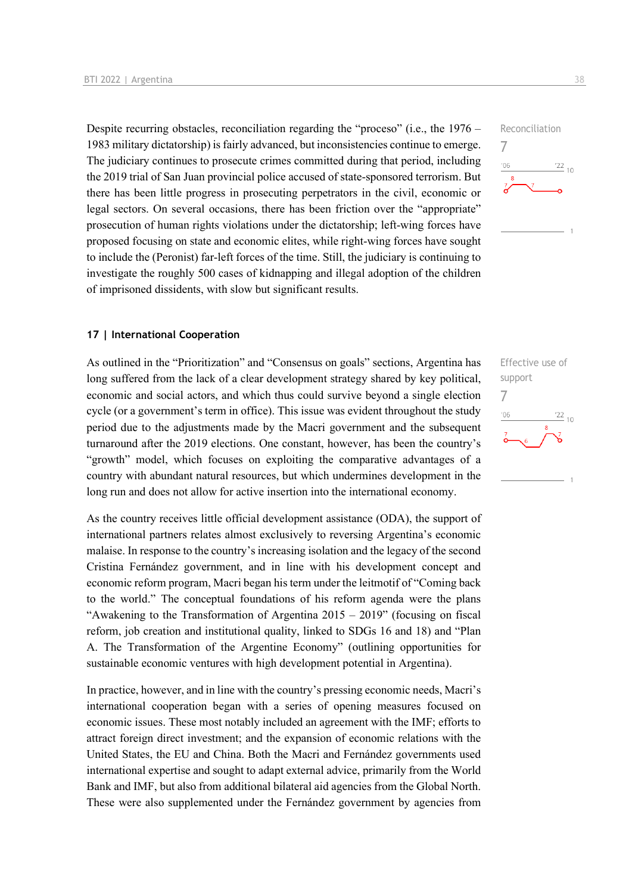Despite recurring obstacles, reconciliation regarding the "proceso" (i.e., the 1976 – 1983 military dictatorship) is fairly advanced, but inconsistencies continue to emerge. The judiciary continues to prosecute crimes committed during that period, including the 2019 trial of San Juan provincial police accused of state-sponsored terrorism. But there has been little progress in prosecuting perpetrators in the civil, economic or legal sectors. On several occasions, there has been friction over the "appropriate" prosecution of human rights violations under the dictatorship; left-wing forces have proposed focusing on state and economic elites, while right-wing forces have sought to include the (Peronist) far-left forces of the time. Still, the judiciary is continuing to investigate the roughly 500 cases of kidnapping and illegal adoption of the children of imprisoned dissidents, with slow but significant results.

#### **17 | International Cooperation**

As outlined in the "Prioritization" and "Consensus on goals" sections, Argentina has long suffered from the lack of a clear development strategy shared by key political, economic and social actors, and which thus could survive beyond a single election cycle (or a government's term in office). This issue was evident throughout the study period due to the adjustments made by the Macri government and the subsequent turnaround after the 2019 elections. One constant, however, has been the country's "growth" model, which focuses on exploiting the comparative advantages of a country with abundant natural resources, but which undermines development in the long run and does not allow for active insertion into the international economy.

As the country receives little official development assistance (ODA), the support of international partners relates almost exclusively to reversing Argentina's economic malaise. In response to the country's increasing isolation and the legacy of the second Cristina Fernández government, and in line with his development concept and economic reform program, Macri began his term under the leitmotif of "Coming back to the world." The conceptual foundations of his reform agenda were the plans "Awakening to the Transformation of Argentina 2015 – 2019" (focusing on fiscal reform, job creation and institutional quality, linked to SDGs 16 and 18) and "Plan A. The Transformation of the Argentine Economy" (outlining opportunities for sustainable economic ventures with high development potential in Argentina).

In practice, however, and in line with the country's pressing economic needs, Macri's international cooperation began with a series of opening measures focused on economic issues. These most notably included an agreement with the IMF; efforts to attract foreign direct investment; and the expansion of economic relations with the United States, the EU and China. Both the Macri and Fernández governments used international expertise and sought to adapt external advice, primarily from the World Bank and IMF, but also from additional bilateral aid agencies from the Global North. These were also supplemented under the Fernández government by agencies from



7

 $^{\prime}06$ 

Effective use of support 7 $-06$  $\frac{22}{10}$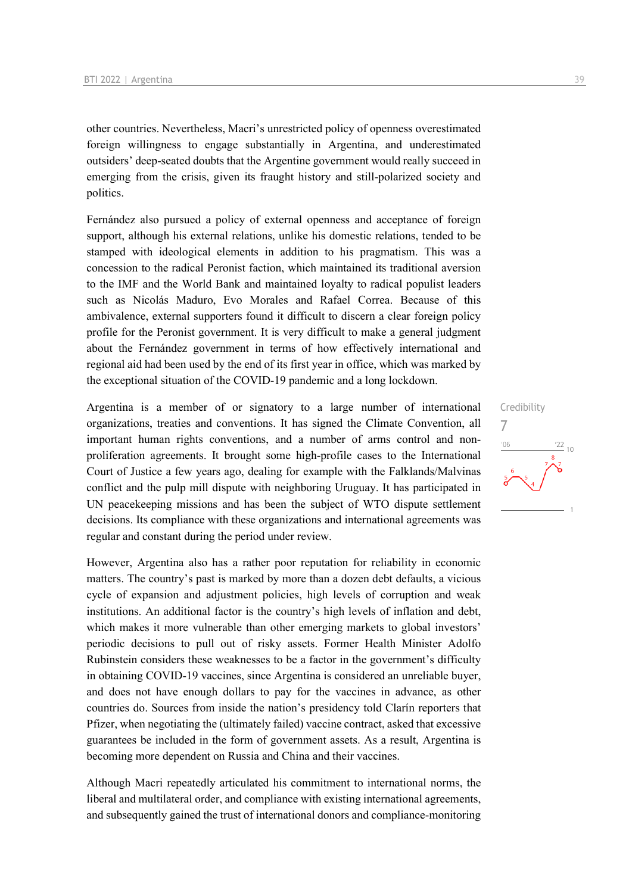other countries. Nevertheless, Macri's unrestricted policy of openness overestimated foreign willingness to engage substantially in Argentina, and underestimated outsiders' deep-seated doubts that the Argentine government would really succeed in emerging from the crisis, given its fraught history and still-polarized society and politics.

Fernández also pursued a policy of external openness and acceptance of foreign support, although his external relations, unlike his domestic relations, tended to be stamped with ideological elements in addition to his pragmatism. This was a concession to the radical Peronist faction, which maintained its traditional aversion to the IMF and the World Bank and maintained loyalty to radical populist leaders such as Nicolás Maduro, Evo Morales and Rafael Correa. Because of this ambivalence, external supporters found it difficult to discern a clear foreign policy profile for the Peronist government. It is very difficult to make a general judgment about the Fernández government in terms of how effectively international and regional aid had been used by the end of its first year in office, which was marked by the exceptional situation of the COVID-19 pandemic and a long lockdown.

Argentina is a member of or signatory to a large number of international organizations, treaties and conventions. It has signed the Climate Convention, all important human rights conventions, and a number of arms control and nonproliferation agreements. It brought some high-profile cases to the International Court of Justice a few years ago, dealing for example with the Falklands/Malvinas conflict and the pulp mill dispute with neighboring Uruguay. It has participated in UN peacekeeping missions and has been the subject of WTO dispute settlement decisions. Its compliance with these organizations and international agreements was regular and constant during the period under review.

However, Argentina also has a rather poor reputation for reliability in economic matters. The country's past is marked by more than a dozen debt defaults, a vicious cycle of expansion and adjustment policies, high levels of corruption and weak institutions. An additional factor is the country's high levels of inflation and debt, which makes it more vulnerable than other emerging markets to global investors' periodic decisions to pull out of risky assets. Former Health Minister Adolfo Rubinstein considers these weaknesses to be a factor in the government's difficulty in obtaining COVID-19 vaccines, since Argentina is considered an unreliable buyer, and does not have enough dollars to pay for the vaccines in advance, as other countries do. Sources from inside the nation's presidency told Clarín reporters that Pfizer, when negotiating the (ultimately failed) vaccine contract, asked that excessive guarantees be included in the form of government assets. As a result, Argentina is becoming more dependent on Russia and China and their vaccines.

Although Macri repeatedly articulated his commitment to international norms, the liberal and multilateral order, and compliance with existing international agreements, and subsequently gained the trust of international donors and compliance-monitoring

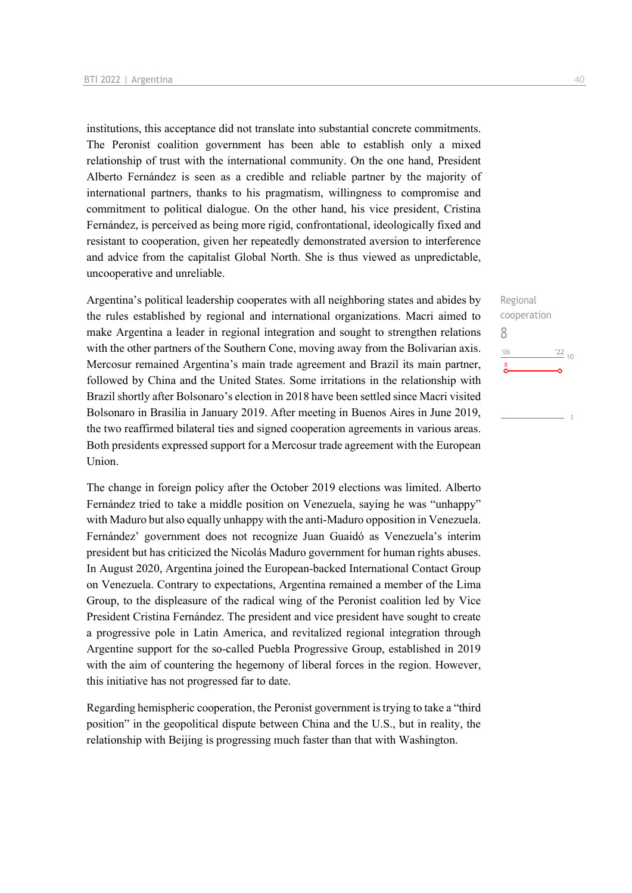institutions, this acceptance did not translate into substantial concrete commitments. The Peronist coalition government has been able to establish only a mixed relationship of trust with the international community. On the one hand, President Alberto Fernández is seen as a credible and reliable partner by the majority of international partners, thanks to his pragmatism, willingness to compromise and commitment to political dialogue. On the other hand, his vice president, Cristina Fernández, is perceived as being more rigid, confrontational, ideologically fixed and resistant to cooperation, given her repeatedly demonstrated aversion to interference and advice from the capitalist Global North. She is thus viewed as unpredictable, uncooperative and unreliable.

Argentina's political leadership cooperates with all neighboring states and abides by the rules established by regional and international organizations. Macri aimed to make Argentina a leader in regional integration and sought to strengthen relations with the other partners of the Southern Cone, moving away from the Bolivarian axis. Mercosur remained Argentina's main trade agreement and Brazil its main partner, followed by China and the United States. Some irritations in the relationship with Brazil shortly after Bolsonaro's election in 2018 have been settled since Macri visited Bolsonaro in Brasilia in January 2019. After meeting in Buenos Aires in June 2019, the two reaffirmed bilateral ties and signed cooperation agreements in various areas. Both presidents expressed support for a Mercosur trade agreement with the European Union.

The change in foreign policy after the October 2019 elections was limited. Alberto Fernández tried to take a middle position on Venezuela, saying he was "unhappy" with Maduro but also equally unhappy with the anti-Maduro opposition in Venezuela. Fernández' government does not recognize Juan Guaidó as Venezuela's interim president but has criticized the Nicolás Maduro government for human rights abuses. In August 2020, Argentina joined the European-backed International Contact Group on Venezuela. Contrary to expectations, Argentina remained a member of the Lima Group, to the displeasure of the radical wing of the Peronist coalition led by Vice President Cristina Fernández. The president and vice president have sought to create a progressive pole in Latin America, and revitalized regional integration through Argentine support for the so-called Puebla Progressive Group, established in 2019 with the aim of countering the hegemony of liberal forces in the region. However, this initiative has not progressed far to date.

Regarding hemispheric cooperation, the Peronist government is trying to take a "third position" in the geopolitical dispute between China and the U.S., but in reality, the relationship with Beijing is progressing much faster than that with Washington.

Regional cooperation 8 $\frac{22}{10}$  $^{\prime}06$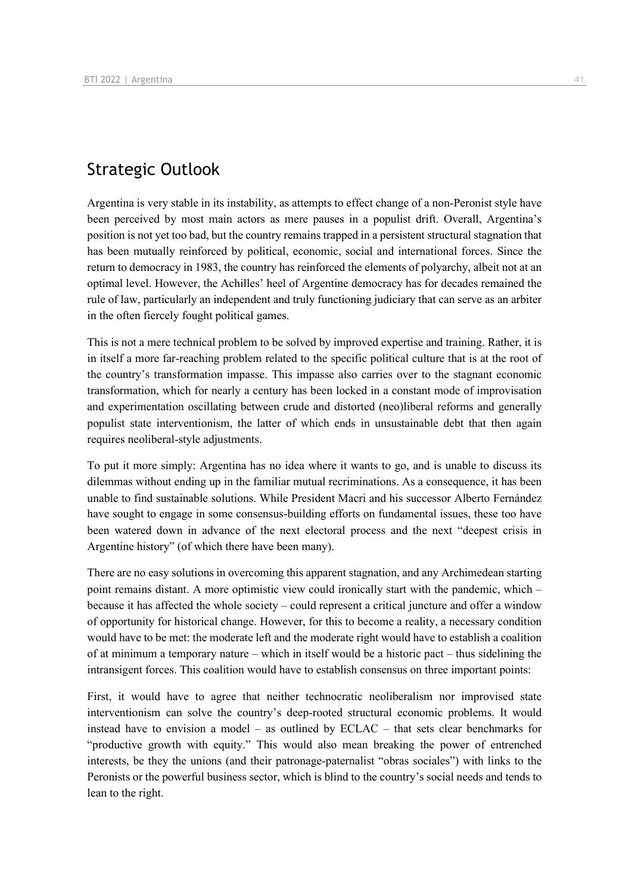## Strategic Outlook

Argentina is very stable in its instability, as attempts to effect change of a non-Peronist style have been perceived by most main actors as mere pauses in a populist drift. Overall, Argentina's position is not yet too bad, but the country remains trapped in a persistent structural stagnation that has been mutually reinforced by political, economic, social and international forces. Since the return to democracy in 1983, the country has reinforced the elements of polyarchy, albeit not at an optimal level. However, the Achilles' heel of Argentine democracy has for decades remained the rule of law, particularly an independent and truly functioning judiciary that can serve as an arbiter in the often fiercely fought political games.

This is not a mere technical problem to be solved by improved expertise and training. Rather, it is in itself a more far-reaching problem related to the specific political culture that is at the root of the country's transformation impasse. This impasse also carries over to the stagnant economic transformation, which for nearly a century has been locked in a constant mode of improvisation and experimentation oscillating between crude and distorted (neo)liberal reforms and generally populist state interventionism, the latter of which ends in unsustainable debt that then again requires neoliberal-style adjustments.

To put it more simply: Argentina has no idea where it wants to go, and is unable to discuss its dilemmas without ending up in the familiar mutual recriminations. As a consequence, it has been unable to find sustainable solutions. While President Macri and his successor Alberto Fernández have sought to engage in some consensus-building efforts on fundamental issues, these too have been watered down in advance of the next electoral process and the next "deepest crisis in Argentine history" (of which there have been many).

There are no easy solutions in overcoming this apparent stagnation, and any Archimedean starting point remains distant. A more optimistic view could ironically start with the pandemic, which – because it has affected the whole society – could represent a critical juncture and offer a window of opportunity for historical change. However, for this to become a reality, a necessary condition would have to be met: the moderate left and the moderate right would have to establish a coalition of at minimum a temporary nature – which in itself would be a historic pact – thus sidelining the intransigent forces. This coalition would have to establish consensus on three important points:

First, it would have to agree that neither technocratic neoliberalism nor improvised state interventionism can solve the country's deep-rooted structural economic problems. It would instead have to envision a model – as outlined by ECLAC – that sets clear benchmarks for "productive growth with equity." This would also mean breaking the power of entrenched interests, be they the unions (and their patronage-paternalist "obras sociales") with links to the Peronists or the powerful business sector, which is blind to the country's social needs and tends to lean to the right.